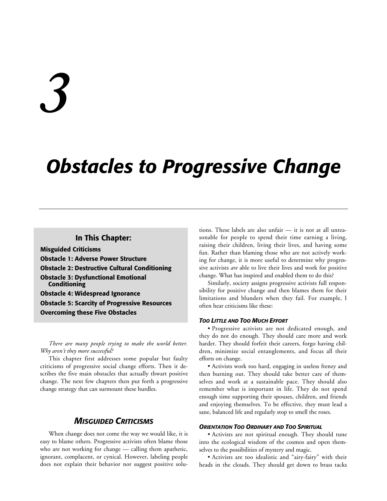# *3*

# *Obstacles to Progressive Change*

# **In This Chapter:**

**Misguided Criticisms Obstacle 1: Adverse Power Structure Obstacle 2: Destructive Cultural Conditioning Obstacle 3: Dysfunctional Emotional Conditioning Obstacle 4: Widespread Ignorance Obstacle 5: Scarcity of Progressive Resources Overcoming these Five Obstacles**

*There are many people trying to make the world better. Why aren't they more successful?*

This chapter first addresses some popular but faulty criticisms of progressive social change efforts. Then it describes the five main obstacles that actually thwart positive change. The next few chapters then put forth a progressive change strategy that can surmount these hurdles.

# *MISGUIDED CRITICISMS*

When change does not come the way we would like, it is easy to blame others. Progressive activists often blame those who are not working for change — calling them apathetic, ignorant, complacent, or cynical. However, labeling people does not explain their behavior nor suggest positive solutions. These labels are also unfair — it is not at all unreasonable for people to spend their time earning a living, raising their children, living their lives, and having some fun. Rather than blaming those who are not actively working for change, it is more useful to determine why progressive activists *are* able to live their lives and work for positive change. What has inspired and enabled them to do this?

Similarly, society assigns progressive activists full responsibility for positive change and then blames them for their limitations and blunders when they fail. For example, I often hear criticisms like these:

#### *TOO LITTLE AND TOO MUCH EFFORT*

• Progressive activists are not dedicated enough, and they do not do enough. They should care more and work harder. They should forfeit their careers, forgo having children, minimize social entanglements, and focus all their efforts on change.

• Activists work too hard, engaging in useless frenzy and then burning out. They should take better care of themselves and work at a sustainable pace. They should also remember what is important in life. They do not spend enough time supporting their spouses, children, and friends and enjoying themselves. To be effective, they must lead a sane, balanced life and regularly stop to smell the roses.

#### *ORIENTATION TOO ORDINARY AND TOO SPIRITUAL*

• Activists are not spiritual enough. They should tune into the ecological wisdom of the cosmos and open themselves to the possibilities of mystery and magic.

• Activists are too idealistic and "airy-fairy" with their heads in the clouds. They should get down to brass tacks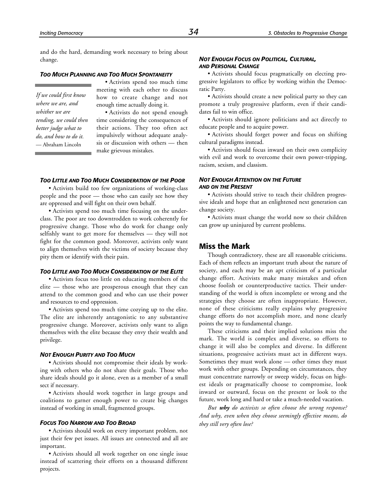and do the hard, demanding work necessary to bring about change.

#### *TOO MUCH PLANNING AND TOO MUCH SPONTANEITY*

*If we could first know where we are, and whither we are tending, we could then better judge what to do, and how to do it.* — Abraham Lincoln

• Activists spend too much time meeting with each other to discuss how to create change and not enough time actually doing it.

• Activists do not spend enough time considering the consequences of their actions. They too often act impulsively without adequate analysis or discussion with others — then make grievous mistakes.

#### *TOO LITTLE AND TOO MUCH CONSIDERATION OF THE POOR*

• Activists build too few organizations of working-class people and the poor — those who can easily see how they are oppressed and will fight on their own behalf.

• Activists spend too much time focusing on the underclass. The poor are too downtrodden to work coherently for progressive change. Those who do work for change only selfishly want to get more for themselves — they will not fight for the common good. Moreover, activists only want to align themselves with the victims of society because they pity them or identify with their pain.

#### *TOO LITTLE AND TOO MUCH CONSIDERATION OF THE ELITE*

• Activists focus too little on educating members of the elite — those who are prosperous enough that they can attend to the common good and who can use their power and resources to end oppression.

• Activists spend too much time cozying up to the elite. The elite are inherently antagonistic to any substantive progressive change. Moreover, activists only want to align themselves with the elite because they envy their wealth and privilege.

#### *NOT ENOUGH PURITY AND TOO MUCH*

• Activists should not compromise their ideals by working with others who do not share their goals. Those who share ideals should go it alone, even as a member of a small sect if necessary.

• Activists should work together in large groups and coalitions to garner enough power to create big changes instead of working in small, fragmented groups.

#### *FOCUS TOO NARROW AND TOO BROAD*

• Activists should work on every important problem, not just their few pet issues. All issues are connected and all are important.

• Activists should all work together on one single issue instead of scattering their efforts on a thousand different projects.

#### *NOT ENOUGH FOCUS ON POLITICAL, CULTURAL, AND PERSONAL CHANGE*

• Activists should focus pragmatically on electing progressive legislators to office by working within the Democratic Party.

• Activists should create a new political party so they can promote a truly progressive platform, even if their candidates fail to win office.

• Activists should ignore politicians and act directly to educate people and to acquire power.

• Activists should forget power and focus on shifting cultural paradigms instead.

• Activists should focus inward on their own complicity with evil and work to overcome their own power-tripping, racism, sexism, and classism.

#### *NOT ENOUGH ATTENTION ON THE FUTURE AND ON THE PRESENT*

• Activists should strive to teach their children progressive ideals and hope that an enlightened next generation can change society.

• Activists must change the world now so their children can grow up uninjured by current problems.

#### **Miss the Mark**

Though contradictory, these are all reasonable criticisms. Each of them reflects an important truth about the nature of society, and each may be an apt criticism of a particular change effort. Activists make many mistakes and often choose foolish or counterproductive tactics. Their understanding of the world is often incomplete or wrong and the strategies they choose are often inappropriate. However, none of these criticisms really explains why progressive change efforts do not accomplish more, and none clearly points the way to fundamental change.

These criticisms and their implied solutions miss the mark. The world is complex and diverse, so efforts to change it will also be complex and diverse. In different situations, progressive activists must act in different ways. Sometimes they must work alone — other times they must work with other groups. Depending on circumstances, they must concentrate narrowly or sweep widely, focus on highest ideals or pragmatically choose to compromise, look inward or outward, focus on the present or look to the future, work long and hard or take a much-needed vacation.

*But why do activists so often choose the wrong response? And why, even when they choose seemingly effective means, do they still very often lose?*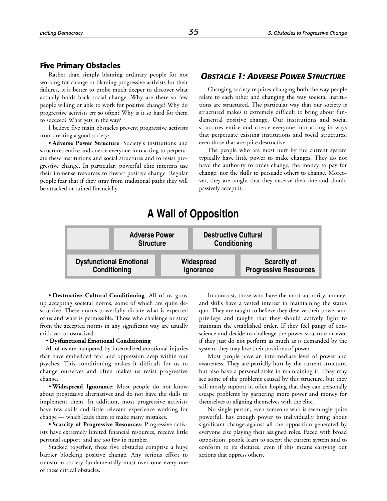#### **Five Primary Obstacles**

Rather than simply blaming ordinary people for not working for change or blaming progressive activists for their failures, it is better to probe much deeper to discover what actually holds back social change. Why are there so few people willing or able to work for positive change? Why do progressive activists err so often? Why is it so hard for them to succeed? What gets in the way?

I believe five main obstacles prevent progressive activists from creating a good society:

• **Adverse Power Structure**: Society's institutions and structures entice and coerce everyone into acting to perpetuate these institutions and social structures and to resist progressive change. In particular, powerful elite interests use their immense resources to thwart positive change. Regular people fear that if they stray from traditional paths they will be attacked or ruined financially.

# *OBSTACLE 1: ADVERSE POWER STRUCTURE*

Changing society requires changing both the way people relate to each other and changing the way societal institutions are structured. The particular way that our society is structured makes it extremely difficult to bring about fundamental positive change. Our institutions and social structures entice and coerce everyone into acting in ways that perpetuate existing institutions and social structures, even those that are quite destructive.

The people who are most hurt by the current system typically have little power to make changes. They do not have the authority to order change, the money to pay for change, nor the skills to persuade others to change. Moreover, they are taught that they deserve their fate and should passively accept it.

# **A Wall of Opposition**



• **Destructive Cultural Conditioning**: All of us grow up accepting societal norms, some of which are quite destructive. These norms powerfully dictate what is expected of us and what is permissible. Those who challenge or stray from the accepted norms in any significant way are usually criticized or ostracized.

#### • **Dysfunctional Emotional Conditioning**

All of us are hampered by internalized emotional injuries that have embedded fear and oppression deep within our psyches. This conditioning makes it difficult for us to change ourselves and often makes us resist progressive change.

• **Widespread Ignorance**: Most people do not know about progressive alternatives and do not have the skills to implement them. In addition, most progressive activists have few skills and little relevant experience working for change — which leads them to make many mistakes.

• **Scarcity of Progressive Resources**: Progressive activists have extremely limited financial resources, receive little personal support, and are too few in number.

Stacked together, these five obstacles comprise a huge barrier blocking positive change. Any serious effort to transform society fundamentally must overcome every one of these critical obstacles.

In contrast, those who have the most authority, money, and skills have a vested interest in maintaining the status quo. They are taught to believe they deserve their power and privilege and taught that they should actively fight to maintain the established order. If they feel pangs of conscience and decide to challenge the power structure or even if they just do not perform as much as is demanded by the system, they may lose their positions of power.

Most people have an intermediate level of power and awareness. They are partially hurt by the current structure, but also have a personal stake in maintaining it. They may see some of the problems caused by this structure, but they still mostly support it, often hoping that they can personally escape problems by garnering more power and money for themselves or aligning themselves with the elite.

No single person, even someone who is seemingly quite powerful, has enough power to individually bring about significant change against all the opposition generated by everyone else playing their assigned roles. Faced with broad opposition, people learn to accept the current system and to conform to its dictates, even if this means carrying out actions that oppress others.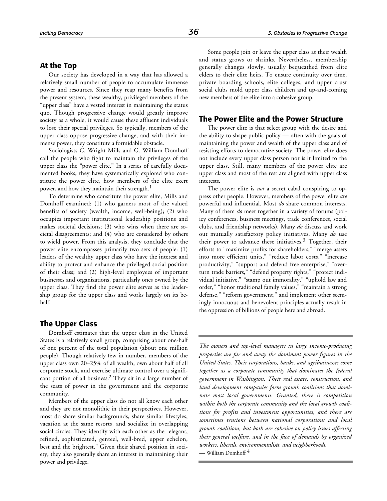# **At the Top**

Our society has developed in a way that has allowed a relatively small number of people to accumulate immense power and resources. Since they reap many benefits from the present system, these wealthy, privileged members of the "upper class" have a vested interest in maintaining the status quo. Though progressive change would greatly improve society as a whole, it would cause these affluent individuals to lose their special privileges. So typically, members of the upper class oppose progressive change, and with their immense power, they constitute a formidable obstacle.

Sociologists C. Wright Mills and G. William Domhoff call the people who fight to maintain the privileges of the upper class the "power elite." In a series of carefully documented books, they have systematically explored who constitute the power elite, how members of the elite exert power, and how they maintain their strength.<sup>1</sup>

To determine who constitute the power elite, Mills and Domhoff examined: (1) who garners most of the valued benefits of society (wealth, income, well-being); (2) who occupies important institutional leadership positions and makes societal decisions; (3) who wins when there are societal disagreements; and (4) who are considered by others to wield power. From this analysis, they conclude that the power elite encompasses primarily two sets of people: (1) leaders of the wealthy upper class who have the interest and ability to protect and enhance the privileged social position of their class; and (2) high-level employees of important businesses and organizations, particularly ones owned by the upper class. They find the power elite serves as the leadership group for the upper class and works largely on its behalf.

### **The Upper Class**

Domhoff estimates that the upper class in the United States is a relatively small group, comprising about one-half of one percent of the total population (about one million people). Though relatively few in number, members of the upper class own 20–25% of all wealth, own about half of all corporate stock, and exercise ultimate control over a significant portion of all business.2 They sit in a large number of the seats of power in the government and the corporate community.

Members of the upper class do not all know each other and they are not monolithic in their perspectives. However, most do share similar backgrounds, share similar lifestyles, vacation at the same resorts, and socialize in overlapping social circles. They identify with each other as the "elegant, refined, sophisticated, genteel, well-bred, upper echelon, best and the brightest." Given their shared position in society, they also generally share an interest in maintaining their power and privilege.

Some people join or leave the upper class as their wealth and status grows or shrinks. Nevertheless, membership generally changes slowly, usually bequeathed from elite elders to their elite heirs. To ensure continuity over time, private boarding schools, elite colleges, and upper crust social clubs mold upper class children and up-and-coming new members of the elite into a cohesive group.

#### **The Power Elite and the Power Structure**

The power elite is that select group with the desire and the ability to shape public policy — often with the goals of maintaining the power and wealth of the upper class and of resisting efforts to democratize society. The power elite does not include every upper class person nor is it limited to the upper class. Still, many members of the power elite are upper class and most of the rest are aligned with upper class interests.

The power elite is *not* a secret cabal conspiring to oppress other people. However, members of the power elite *are* powerful and influential. Most *do* share common interests. Many of them *do* meet together in a variety of forums (policy conferences, business meetings, trade conferences, social clubs, and friendship networks). Many *do* discuss and work out mutually satisfactory policy initiatives. Many *do* use their power to advance these initiatives.<sup>3</sup> Together, their efforts to "maximize profits for shareholders," "merge assets into more efficient units," "reduce labor costs," "increase productivity," "support and defend free enterprise," "overturn trade barriers," "defend property rights," "protect individual initiative," "stamp out immorality," "uphold law and order," "honor traditional family values," "maintain a strong defense," "reform government," and implement other seemingly innocuous and benevolent principles actually result in the oppression of billions of people here and abroad.

*The owners and top-level managers in large income-producing properties are far and away the dominant power figures in the United States. Their corporations, banks, and agribusinesses come together as a corporate community that dominates the federal government in Washington. Their real estate, construction, and land development companies form growth coalitions that dominate most local governments. Granted, there is competition within both the corporate community and the local growth coalitions for profits and investment opportunities, and there are sometimes tensions between national corporations and local growth coalitions, but both are cohesive on policy issues affecting their general welfare, and in the face of demands by organized workers, liberals, environmentalists, and neighborhoods.* — William Domhoff 4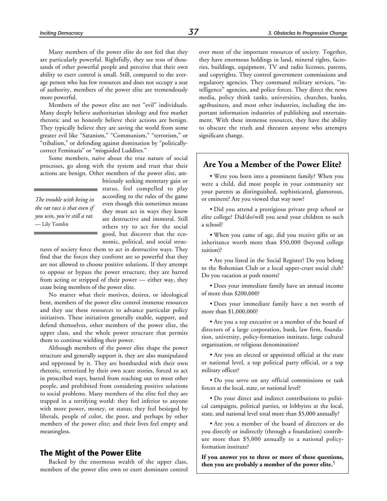Many members of the power elite do not feel that they are particularly powerful. Rightfully, they see tens of thousands of other powerful people and perceive that their own ability to exert control is small. Still, compared to the average person who has few resources and does not occupy a seat of authority, members of the power elite are tremendously more powerful.

Members of the power elite are not "evil" individuals. Many deeply believe authoritarian ideology and free market rhetoric and so honestly believe their actions are benign. They typically believe they are saving the world from some greater evil like "Satanism," "Communism," "terrorism," or "tribalism," or defending against domination by "politicallycorrect Feminazis" or "misguided Luddites."

Some members, naïve about the true nature of social processes, go along with the system and trust that their actions are benign. Other members of the power elite, am-

*The trouble with being in the rat race is that even if you win, you're still a rat.* — Lily Tomlin

bitiously seeking monetary gain or status, feel compelled to play according to the rules of the game even though this sometimes means they must act in ways they know are destructive and immoral. Still others try to act for the social good, but discover that the economic, political, and social struc-

tures of society force them to act in destructive ways. They find that the forces they confront are so powerful that they are not allowed to choose positive solutions. If they attempt to oppose or bypass the power structure, they are barred from acting or stripped of their power — either way, they cease being members of the power elite.

No matter what their motives, desires, or ideological bent, members of the power elite control immense resources and they use these resources to advance particular policy initiatives. These initiatives generally enable, support, and defend themselves, other members of the power elite, the upper class, and the whole power structure that permits them to continue wielding their power.

Although members of the power elite shape the power structure and generally support it, they are also manipulated and oppressed by it. They are bombarded with their own rhetoric, terrorized by their own scare stories, forced to act in proscribed ways, barred from reaching out to most other people, and prohibited from considering positive solutions to social problems. Many members of the elite feel they are trapped in a terrifying world: they feel inferior to anyone with more power, money, or status; they feel besieged by liberals, people of color, the poor, and perhaps by other members of the power elite; and their lives feel empty and meaningless.

#### **The Might of the Power Elite**

Backed by the enormous wealth of the upper class, members of the power elite own or exert dominant control over most of the important resources of society. Together, they have enormous holdings in land, mineral rights, factories, buildings, equipment, TV and radio licenses, patents, and copyrights. They control government commissions and regulatory agencies. They command military services, "intelligence" agencies, and police forces. They direct the news media, policy think tanks, universities, churches, banks, agribusiness, and most other industries, including the important information industries of publishing and entertainment. With these immense resources, they have the ability to obscure the truth and threaten anyone who attempts significant change.

# **Are You a Member of the Power Elite?**

• Were you born into a prominent family? When you were a child, did most people in your community see your parents as distinguished, sophisticated, glamorous, or eminent? Are you viewed that way now?

• Did you attend a prestigious private prep school or elite college? Did/do/will you send your children to such a school?

• When you came of age, did you receive gifts or an inheritance worth more than \$50,000 (beyond college tuition)?

• Are you listed in the Social Register? Do you belong to the Bohemian Club or a local upper-crust social club? Do you vacation at posh resorts?

• Does your immediate family have an annual income of more than \$200,000?

• Does your immediate family have a net worth of more than \$1,000,000?

• Are you a top executive or a member of the board of directors of a large corporation, bank, law firm, foundation, university, policy-formation institute, large cultural organization, or religious denomination?

• Are you an elected or appointed official at the state or national level, a top political party official, or a top military officer?

• Do you serve on any official commissions or task forces at the local, state, or national level?

• Do your direct and indirect contributions to political campaigns, political parties, or lobbyists at the local, state, and national level total more than \$5,000 annually?

• Are you a member of the board of directors or do you directly or indirectly (through a foundation) contribute more than \$5,000 annually to a national policyformation institute?

**If you answer yes to three or more of these questions, then you are probably a member of the power elite.**<sup>5</sup>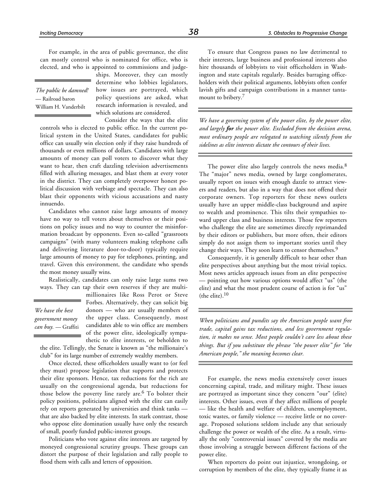For example, in the area of public governance, the elite can mostly control who is nominated for office, who is elected, and who is appointed to commissions and judge-

*The public be damned!* — Railroad baron William H. Vanderbilt

ships. Moreover, they can mostly determine who lobbies legislators, how issues are portrayed, which policy questions are asked, what research information is revealed, and which solutions are considered.

Consider the ways that the elite

controls who is elected to public office. In the current political system in the United States, candidates for public office can usually win election only if they raise hundreds of thousands or even millions of dollars. Candidates with large amounts of money can poll voters to discover what they want to hear, then craft dazzling television advertisements filled with alluring messages, and blast them at every voter in the district. They can completely overpower honest political discussion with verbiage and spectacle. They can also blast their opponents with vicious accusations and nasty innuendo.

Candidates who cannot raise large amounts of money have no way to tell voters about themselves or their positions on policy issues and no way to counter the misinformation broadcast by opponents. Even so-called "grassroots campaigns" (with many volunteers making telephone calls and delivering literature door-to-door) typically require large amounts of money to pay for telephones, printing, and travel. Given this environment, the candidate who spends the most money usually wins.

Realistically, candidates can only raise large sums two ways. They can tap their own reserves if they are multi-

*We have the best government money can buy.* — Graffiti millionaires like Ross Perot or Steve Forbes. Alternatively, they can solicit big donors — who are usually members of the upper class. Consequently, most candidates able to win office are members of the power elite, ideologically sympathetic to elite interests, or beholden to

the elite. Tellingly, the Senate is known as "the millionaire's club" for its large number of extremely wealthy members.

Once elected, these officeholders usually want to (or feel they must) propose legislation that supports and protects their elite sponsors. Hence, tax reductions for the rich are usually on the congressional agenda, but reductions for those below the poverty line rarely are.<sup>6</sup> To bolster their policy positions, politicians aligned with the elite can easily rely on reports generated by universities and think tanks that are also backed by elite interests. In stark contrast, those who oppose elite domination usually have only the research of small, poorly funded public-interest groups.

Politicians who vote against elite interests are targeted by moneyed congressional scrutiny groups. These groups can distort the purpose of their legislation and rally people to flood them with calls and letters of opposition.

To ensure that Congress passes no law detrimental to their interests, large business and professional interests also hire thousands of lobbyists to visit officeholders in Washington and state capitals regularly. Besides barraging officeholders with their political arguments, lobbyists often confer lavish gifts and campaign contributions in a manner tantamount to bribery.<sup>7</sup>

*We have a governing system of the power elite, by the power elite, and largely for the power elite. Excluded from the decision arena, most ordinary people are relegated to watching silently from the sidelines as elite interests dictate the contours of their lives.*

The power elite also largely controls the news media.<sup>8</sup> The "major" news media, owned by large conglomerates, usually report on issues with enough dazzle to attract viewers and readers, but also in a way that does not offend their corporate owners. Top reporters for these news outlets usually have an upper middle-class background and aspire to wealth and prominence. This tilts their sympathies toward upper class and business interests. Those few reporters who challenge the elite are sometimes directly reprimanded by their editors or publishers, but more often, their editors simply do not assign them to important stories until they change their ways. They soon learn to censor themselves.<sup>9</sup>

Consequently, it is generally difficult to hear other than elite perspectives about anything but the most trivial topics. Most news articles approach issues from an elite perspective — pointing out how various options would affect "us" (the elite) and what the most prudent course of action is for "us" (the elite). $10$ 

*When politicians and pundits say the American people want free trade, capital gains tax reductions, and less government regulation, it makes no sense. Most people couldn't care less about these things. But if you substitute the phrase "the power elite" for "the American people," the meaning becomes clear.*

For example, the news media extensively cover issues concerning capital, trade, and military might. These issues are portrayed as important since they concern "our" (elite) interests. Other issues, even if they affect millions of people — like the health and welfare of children, unemployment, toxic wastes, or family violence — receive little or no coverage. Proposed solutions seldom include any that seriously challenge the power or wealth of the elite. As a result, virtually the only "controversial issues" covered by the media are those involving a struggle between different factions of the power elite.

When reporters do point out injustice, wrongdoing, or corruption by members of the elite, they typically frame it as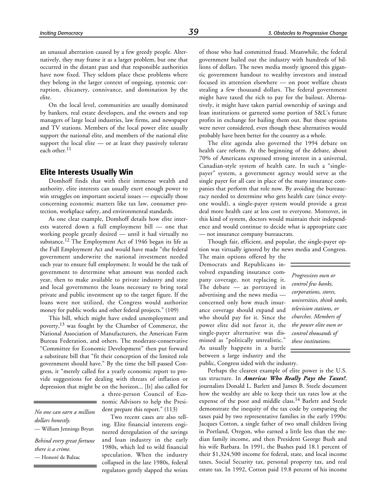an unusual aberration caused by a few greedy people. Alternatively, they may frame it as a larger problem, but one that occurred in the distant past and that responsible authorities have now fixed. They seldom place these problems where they belong in the larger context of ongoing, systemic corruption, chicanery, connivance, and domination by the elite.

On the local level, communities are usually dominated by bankers, real estate developers, and the owners and top managers of large local industries, law firms, and newspaper and TV stations. Members of the local power elite usually support the national elite, and members of the national elite support the local elite — or at least they passively tolerate each other.<sup>11</sup>

#### **Elite Interests Usually Win**

Domhoff finds that with their immense wealth and authority, elite interests can usually exert enough power to win struggles on important societal issues — especially those concerning economic matters like tax law, consumer protection, workplace safety, and environmental standards.

As one clear example, Domhoff details how elite interests watered down a full employment bill — one that working people greatly desired — until it had virtually no substance.12 The Employment Act of 1946 began its life as the Full Employment Act and would have made "the federal government underwrite the national investment needed each year to ensure full employment. It would be the task of government to determine what amount was needed each year, then to make available to private industry and state and local governments the loans necessary to bring total private and public investment up to the target figure. If the loans were not utilized, the Congress would authorize money for public works and other federal projects." (109)

This bill, which might have ended unemployment and poverty,<sup>13</sup> was fought by the Chamber of Commerce, the National Association of Manufacturers, the American Farm Bureau Federation, and others. The moderate-conservative "Committee for Economic Development" then put forward a substitute bill that "fit their conception of the limited role government should have." By the time the bill passed Congress, it "merely called for a yearly economic report to provide suggestions for dealing with threats of inflation or depression that might be on the horizon... [It] also called for

*No one can earn a million dollars honestly.* — William Jennings Bryan *Behind every great fortune there is a crime.*

— Honoré de Balzac

a three-person Council of Economic Advisors to help the President prepare this report." (113)

Two recent cases are also telling. Elite financial interests engineered deregulation of the savings and loan industry in the early 1980s, which led to wild financial speculation. When the industry collapsed in the late 1980s, federal regulators gently slapped the wrists of those who had committed fraud. Meanwhile, the federal government bailed out the industry with hundreds of billions of dollars. The news media mostly ignored this gigantic government handout to wealthy investors and instead focused its attention elsewhere — on poor welfare cheats stealing a few thousand dollars. The federal government might have taxed the rich to pay for the bailout. Alternatively, it might have taken partial ownership of savings and loan institutions or garnered some portion of S&L's future profits in exchange for bailing them out. But these options were never considered, even though these alternatives would probably have been better for the country as a whole.

The elite agenda also governed the 1994 debate on health care reform. At the beginning of the debate, about 70% of Americans expressed strong interest in a universal, Canadian-style system of health care. In such a "singlepayer" system, a government agency would serve as the single payer for all care in place of the many insurance companies that perform that role now. By avoiding the bureaucracy needed to determine who gets health care (since everyone would), a single-payer system would provide a great deal more health care at less cost to everyone. Moreover, in this kind of system, doctors would maintain their independence and would continue to decide what is appropriate care — not insurance company bureaucrats.

Though fair, efficient, and popular, the single-payer option was virtually ignored by the news media and Congress.

The main options offered by the Democrats and Republicans involved expanding insurance company coverage, not replacing it. The debate — as portrayed in advertising and the news media concerned only how much insurance coverage should expand and who should pay for it. Since the power elite did not favor it, the single-payer alternative was dismissed as "politically unrealistic." As usually happens in a battle between a large industry and the public, Congress sided with the industry.

Perhaps the clearest example of elite power is the U.S. tax structure. In *America: Who Really Pays the Taxes?*, journalists Donald L. Barlett and James B. Steele document how the wealthy are able to keep their tax rates low at the expense of the poor and middle class.<sup>14</sup> Barlett and Steele demonstrate the inequity of the tax code by comparing the taxes paid by two representative families in the early 1990s: Jacques Cotton, a single father of two small children living in Portland, Oregon, who earned a little less than the median family income, and then President George Bush and his wife Barbara. In 1991, the Bushes paid 18.1 percent of their \$1,324,500 income for federal, state, and local income taxes, Social Security tax, personal property tax, and real estate tax. In 1992, Cotton paid 19.8 percent of his income

*Progressives own or control few banks, corporations, stores, universities, think tanks, television stations, or churches. Members of the power elite own or control thousands of these institutions.*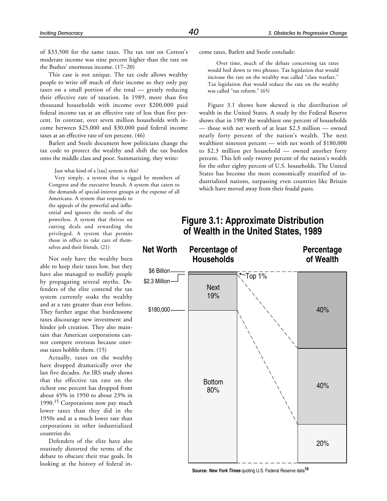of \$33,500 for the same taxes. The tax *rate* on Cotton's moderate income was nine percent higher than the rate on the Bushes' enormous income. (17–20)

This case is not unique. The tax code allows wealthy people to write off much of their income so they only pay taxes on a small portion of the total — greatly reducing their effective rate of taxation. In 1989, more than five thousand households with income over \$200,000 paid federal income tax at an effective rate of less than five percent. In contrast, over seven million households with income between \$25,000 and \$30,000 paid federal income taxes at an effective rate of ten percent. (46)

Barlett and Steele document how politicians change the tax code to protect the wealthy and shift the tax burden onto the middle class and poor. Summarizing, they write:

Just what kind of a [tax] system is this?

Very simply, a system that is rigged by members of Congress and the executive branch. A system that caters to the demands of special-interest groups at the expense of all

Americans. A system that responds to the appeals of the powerful and influential and ignores the needs of the powerless. A system that thrives on cutting deals and rewarding the privileged. A system that permits those in office to take care of themselves and their friends. (21)

Not only have the wealthy been able to keep their taxes low, but they have also managed to mollify people by propagating several myths. Defenders of the elite contend the tax system currently soaks the wealthy and at a rate greater than ever before. They further argue that burdensome taxes discourage new investment and hinder job creation. They also maintain that American corporations cannot compete overseas because onerous taxes hobble them. (15)

Actually, taxes on the wealthy have dropped dramatically over the last five decades. An IRS study shows that the effective tax rate on the richest one percent has dropped from about 45% in 1950 to about 23% in 1990.<sup>15</sup> Corporations now pay much lower taxes than they did in the 1950s and at a much lower rate than corporations in other industrialized countries do.

Defenders of the elite have also routinely distorted the terms of the debate to obscure their true goals. In looking at the history of federal income taxes, Barlett and Steele conclude:

Over time, much of the debate concerning tax rates would boil down to two phrases. Tax legislation that would increase the rate on the wealthy was called "class warfare." Tax legislation that would reduce the rate on the wealthy was called "tax reform." (65)

Figure 3.1 shows how skewed is the distribution of wealth in the United States. A study by the Federal Reserve shows that in 1989 the wealthiest one percent of households — those with net worth of at least \$2.3 million — owned nearly forty percent of the nation's wealth. The next wealthiest nineteen percent — with net worth of \$180,000 to \$2.3 million per household — owned another forty percent. This left only twenty percent of the nation's wealth for the other eighty percent of U.S. households. The United States has become the most economically stratified of industrialized nations, surpassing even countries like Britain which have moved away from their feudal pasts.

# **Figure 3.1: Approximate Distribution of Wealth in the United States, 1989**



**Source:** *New York Times* quoting U.S. Federal Reserve data**<sup>16</sup>**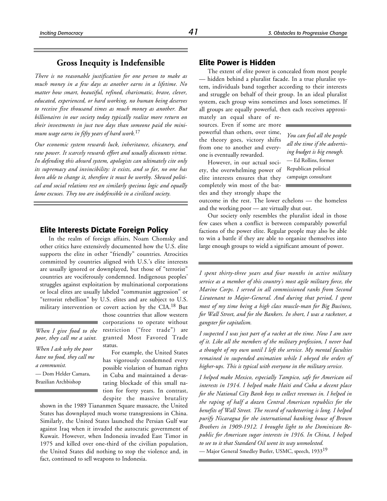# **Gross Inequity is Indefensible**

*There is no reasonable justification for one person to make as much money in a few days as another earns in a lifetime. No matter how smart, beautiful, refined, charismatic, brave, clever, educated, experienced, or hard working, no human being deserves to receive five thousand times as much money as another. But billionaires in our society today typically realize more return on their investments in just two days than someone paid the minimum wage earns in fifty years of hard work.*<sup>17</sup>

*Our economic system rewards luck, inheritance, chicanery, and raw power. It scarcely rewards effort and usually discounts virtue. In defending this absurd system, apologists can ultimately cite only its supremacy and invincibility: it exists, and so far, no one has been able to change it, therefore it must be worthy. Skewed political and social relations rest on similarly specious logic and equally lame excuses. They too are indefensible in a civilized society.*

#### **Elite Interests Dictate Foreign Policy**

In the realm of foreign affairs, Noam Chomsky and other critics have extensively documented how the U.S. elite supports the elite in other "friendly" countries. Atrocities committed by countries aligned with U.S.'s elite interests are usually ignored or downplayed, but those of "terrorist" countries are vociferously condemned. Indigenous peoples' struggles against exploitation by multinational corporations or local elites are usually labeled "communist aggression" or "terrorist rebellion" by U.S. elites and are subject to U.S. military intervention or covert action by the CIA.18 But

*When I give food to the poor, they call me a saint.*

*When I ask why the poor have no food, they call me a communist.*

— Dom Helder Camara, Brazilian Archbishop

those countries that allow western corporations to operate without restriction ("free trade") are granted Most Favored Trade status.

For example, the United States has vigorously condemned every possible violation of human rights in Cuba and maintained a devastating blockade of this small nation for forty years. In contrast, despite the massive brutality

shown in the 1989 Tiananmen Square massacre, the United States has downplayed much worse transgressions in China. Similarly, the United States launched the Persian Gulf war against Iraq when it invaded the autocratic government of Kuwait. However, when Indonesia invaded East Timor in 1975 and killed over one-third of the civilian population, the United States did nothing to stop the violence and, in fact, continued to sell weapons to Indonesia.

# **Elite Power is Hidden**

The extent of elite power is concealed from most people — hidden behind a pluralist facade. In a true pluralist system, individuals band together according to their interests and struggle on behalf of their group. In an ideal pluralist system, each group wins sometimes and loses sometimes. If all groups are equally powerful, then each receives approxi-

mately an equal share of resources. Even if some are more powerful than others, over time, the theory goes, victory shifts from one to another and everyone is eventually rewarded.

However, in our actual society, the overwhelming power of elite interests ensures that they completely win most of the battles and they strongly shape the

*You can fool all the people all the time if the advertising budget is big enough.* — Ed Rollins, former Republican political campaign consultant

outcome in the rest. The lower echelons — the homeless and the working poor — are virtually shut out.

Our society only resembles the pluralist ideal in those few cases when a conflict is between comparably powerful factions of the power elite. Regular people may also be able to win a battle if they are able to organize themselves into large enough groups to wield a significant amount of power.

*I spent thirty-three years and four months in active military service as a member of this country's most agile military force, the Marine Corps. I served in all commissioned ranks from Second Lieutenant to Major-General. And during that period, I spent most of my time being a high class muscle-man for Big Business, for Wall Street, and for the Bankers. In short, I was a racketeer, a gangster for capitalism.*

*I suspected I was just part of a racket at the time. Now I am sure of it. Like all the members of the military profession, I never had a thought of my own until I left the service. My mental faculties remained in suspended animation while I obeyed the orders of higher-ups. This is typical with everyone in the military service.*

*I helped make Mexico, especially Tampico, safe for American oil interests in 1914. I helped make Haiti and Cuba a decent place for the National City Bank boys to collect revenues in. I helped in the raping of half a dozen Central American republics for the benefits of Wall Street. The record of racketeering is long. I helped purify Nicaragua for the international banking house of Brown Brothers in 1909-1912. I brought light to the Dominican Republic for American sugar interests in 1916. In China, I helped to see to it that Standard Oil went its way unmolested.*

— Major General Smedley Butler, USMC, speech, 1933<sup>19</sup>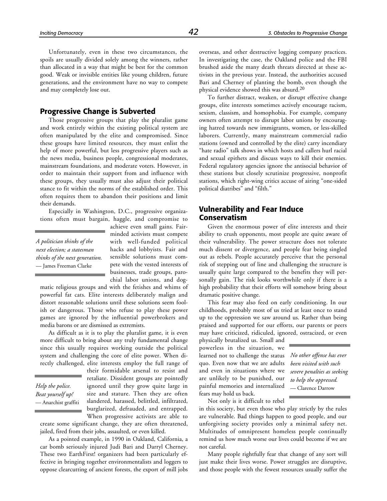Unfortunately, even in these two circumstances, the spoils are usually divided solely among the winners, rather than allocated in a way that might be best for the common good. Weak or invisible entities like young children, future generations, and the environment have no way to compete and may completely lose out.

# **Progressive Change is Subverted**

Those progressive groups that play the pluralist game and work entirely within the existing political system are often manipulated by the elite and compromised. Since these groups have limited resources, they must enlist the help of more powerful, but less progressive players such as the news media, business people, congressional moderates, mainstream foundations, and moderate voters. However, in order to maintain their support from and influence with these groups, they usually must also adjust their political stance to fit within the norms of the established order. This often requires them to abandon their positions and limit their demands.

Especially in Washington, D.C., progressive organizations often must bargain, haggle, and compromise to

*A politician thinks of the next election; a statesman thinks of the next generation.* — James Freeman Clarke

achieve even small gains. Fairminded activists must compete with well-funded political hacks and lobbyists. Fair and sensible solutions must compete with the vested interests of businesses, trade groups, parochial labor unions, and dog-

matic religious groups and with the fetishes and whims of powerful fat cats. Elite interests deliberately malign and distort reasonable solutions until these solutions seem foolish or dangerous. Those who refuse to play these power games are ignored by the influential powerbrokers and media barons or are dismissed as extremists.

As difficult as it is to play the pluralist game, it is even more difficult to bring about any truly fundamental change since this usually requires working outside the political system and challenging the core of elite power. When directly challenged, elite interests employ the full range of

### *Help the police. Beat yourself up!* — Anarchist graffiti

their formidable arsenal to resist and retaliate. Dissident groups are pointedly ignored until they grow quite large in size and stature. Then they are often slandered, harassed, belittled, infiltrated, burglarized, defrauded, and entrapped. When progressive activists are able to

create some significant change, they are often threatened, jailed, fired from their jobs, assaulted, or even killed.

As a pointed example, in 1990 in Oakland, California, a car bomb seriously injured Judi Bari and Darryl Cherney. These two EarthFirst! organizers had been particularly effective in bringing together environmentalists and loggers to oppose clearcutting of ancient forests, the export of mill jobs overseas, and other destructive logging company practices. In investigating the case, the Oakland police and the FBI brushed aside the many death threats directed at these activists in the previous year. Instead, the authorities accused Bari and Cherney of planting the bomb, even though the physical evidence showed this was absurd.20

To further distract, weaken, or disrupt effective change groups, elite interests sometimes actively encourage racism, sexism, classism, and homophobia. For example, company owners often attempt to disrupt labor unions by encouraging hatred towards new immigrants, women, or less-skilled laborers. Currently, many mainstream commercial radio stations (owned and controlled by the elite) carry incendiary "hate radio" talk shows in which hosts and callers hurl racial and sexual epithets and discuss ways to kill their enemies. Federal regulatory agencies ignore the antisocial behavior of these stations but closely scrutinize progressive, nonprofit stations, which right-wing critics accuse of airing "one-sided political diatribes" and "filth."

# **Vulnerability and Fear Induce Conservatism**

Given the enormous power of elite interests and their ability to crush opponents, most people are quite aware of their vulnerability. The power structure does not tolerate much dissent or divergence, and people fear being singled out as rebels. People accurately perceive that the personal risk of stepping out of line and challenging the structure is usually quite large compared to the benefits they will personally gain. The risk looks worthwhile only if there is a high probability that their efforts will somehow bring about dramatic positive change.

This fear may also feed on early conditioning. In our childhoods, probably most of us tried at least once to stand up to the oppression we saw around us. Rather than being praised and supported for our efforts, our parents or peers may have criticized, ridiculed, ignored, ostracized, or even

physically brutalized us. Small and powerless in the situation, we learned not to challenge the status quo. Even now that we are adults and even in situations where we are unlikely to be punished, our painful memories and internalized fears may hold us back.

*No other offense has ever been visited with such severe penalties as seeking to help the oppressed.* — Clarence Darrow

Not only is it difficult to rebel

in this society, but even those who play strictly by the rules are vulnerable. Bad things happen to good people, and our unforgiving society provides only a minimal safety net. Multitudes of omnipresent homeless people continually remind us how much worse our lives could become if we are not careful.

Many people rightfully fear that change of any sort will just make their lives worse. Power struggles are disruptive, and those people with the fewest resources usually suffer the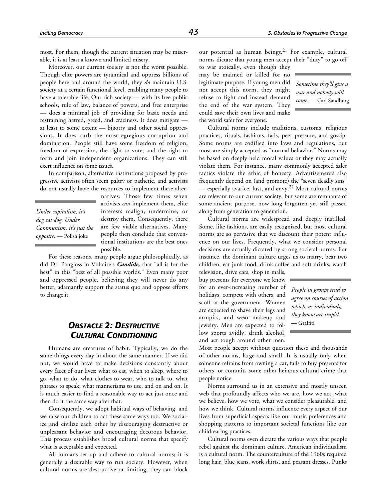most. For them, though the current situation may be miserable, it is at least a known and limited misery.

Moreover, our current society is not the worst possible. Though elite powers are tyrannical and oppress billions of people here and around the world, they *do* maintain U.S. society at a certain functional level, enabling many people to have a tolerable life. Our rich society — with its free public schools, rule of law, balance of powers, and free enterprise — does a minimal job of providing for basic needs and restraining hatred, greed, and craziness. It does mitigate at least to some extent — bigotry and other social oppressions. It does curb the most egregious corruption and domination. People still have some freedom of religion, freedom of expression, the right to vote, and the right to form and join independent organizations. They can still exert influence on some issues.

In comparison, alternative institutions proposed by progressive activists often seem paltry or pathetic, and activists do not usually have the resources to implement these alter-

*Under capitalism, it's dog eat dog. Under Communism, it's just the opposite.* — Polish joke

natives. Those few times when activists *can* implement them, elite interests malign, undermine, or destroy them. Consequently, there are few viable alternatives. Many people then conclude that conventional institutions are the best ones possible.

For these reasons, many people argue philosophically, as did Dr. Pangloss in Voltaire's *Candide,* that "all is for the best" in this "best of all possible worlds." Even many poor and oppressed people, believing they will never do any better, adamantly support the status quo and oppose efforts to change it.

# *OBSTACLE 2: DESTRUCTIVE CULTURAL CONDITIONING*

Humans are creatures of habit. Typically, we do the same things every day in about the same manner. If we did not, we would have to make decisions constantly about every facet of our lives: what to eat, when to sleep, where to go, what to do, what clothes to wear, who to talk to, what phrases to speak, what mannerisms to use, and on and on. It is much easier to find a reasonable way to act just once and then do it the same way after that.

Consequently, we adopt habitual ways of behaving, and we raise our children to act these same ways too. We socialize and civilize each other by discouraging destructive or unpleasant behavior and encouraging decorous behavior. This process establishes broad cultural norms that specify what is acceptable and expected.

All humans set up and adhere to cultural norms; it is generally a desirable way to run society. However, when cultural norms are destructive or limiting, they can block

our potential as human beings.<sup>21</sup> For example, cultural norms dictate that young men accept their "duty" to go off

to war stoically, even though they may be maimed or killed for no legitimate purpose. If young men did not accept this norm, they might refuse to fight and instead demand the end of the war system. They could save their own lives and make the world safer for everyone.

*Sometime they'll give a war and nobody will come.* — Carl Sandburg

Cultural norms include traditions, customs, religious practices, rituals, fashions, fads, peer pressure, and gossip. Some norms are codified into laws and regulations, but most are simply accepted as "normal behavior." Norms may be based on deeply held moral values or they may actually violate them. For instance, many commonly accepted sales tactics violate the ethic of honesty. Advertisements also frequently depend on (and promote) the "seven deadly sins" — especially avarice, lust, and envy.22 Most cultural norms are relevant to our current society, but some are remnants of some ancient purpose, now long forgotten yet still passed along from generation to generation.

Cultural norms are widespread and deeply instilled. Some, like fashions, are easily recognized, but most cultural norms are so pervasive that we discount their potent influence on our lives. Frequently, what we consider personal decisions are actually dictated by strong societal norms. For instance, the dominant culture urges us to marry, bear two children, eat junk food, drink coffee and soft drinks, watch

television, drive cars, shop in malls, buy presents for everyone we know for an ever-increasing number of holidays, compete with others, and scoff at the government. Women are expected to shave their legs and armpits, and wear makeup and jewelry. Men are expected to follow sports avidly, drink alcohol, and act tough around other men.

*People in groups tend to agree on courses of action which, as individuals, they know are stupid.* — Graffiti

Most people accept without question these and thousands of other norms, large and small. It is usually only when someone refrains from owning a car, fails to buy presents for others, or commits some other heinous cultural crime that people notice.

Norms surround us in an extensive and mostly unseen web that profoundly affects who we are, how we act, what we believe, how we vote, what we consider pleasurable, and how we think. Cultural norms influence every aspect of our lives from superficial aspects like our music preferences and shopping patterns to important societal functions like our childrearing practices.

Cultural norms even dictate the various ways that people rebel against the dominant culture. American individualism is a cultural norm. The counterculture of the 1960s required long hair, blue jeans, work shirts, and peasant dresses. Punks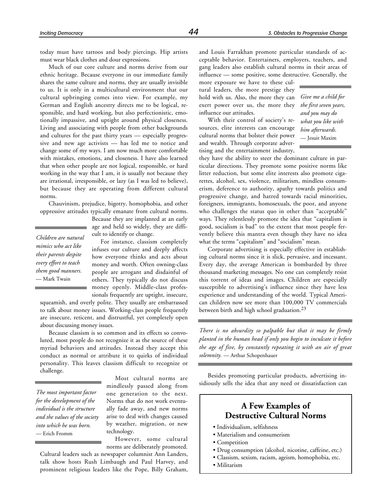today must have tattoos and body piercings. Hip artists must wear black clothes and dour expressions.

Much of our core culture and norms derive from our ethnic heritage. Because everyone in our immediate family shares the same culture and norms, they are usually invisible to us. It is only in a multicultural environment that our cultural upbringing comes into view. For example, my German and English ancestry directs me to be logical, responsible, and hard working, but also perfectionistic, emotionally impassive, and uptight around physical closeness. Living and associating with people from other backgrounds and cultures for the past thirty years — especially progressive and new age activists — has led me to notice and change some of my ways. I am now much more comfortable with mistakes, emotions, and closeness. I have also learned that when other people are not logical, responsible, or hard working in the way that I am, it is usually not because they are irrational, irresponsible, or lazy (as I was led to believe), but because they are operating from different cultural norms.

Chauvinism, prejudice, bigotry, homophobia, and other oppressive attitudes typically emanate from cultural norms.

*Children are natural mimics who act like their parents despite every effort to teach them good manners.* — Mark Twain

Because they are implanted at an early age and held so widely, they are difficult to identify or change.

For instance, classism completely infuses our culture and deeply affects how everyone thinks and acts about money and worth. Often owning-class people are arrogant and disdainful of others. They typically do not discuss money openly. Middle-class professionals frequently are uptight, insecure,

squeamish, and overly polite. They usually are embarrassed to talk about money issues. Working-class people frequently are insecure, reticent, and distrustful, yet completely open about discussing money issues.

Because classism is so common and its effects so convoluted, most people do not recognize it as the source of these myriad behaviors and attitudes. Instead they accept this conduct as normal or attribute it to quirks of individual personality. This leaves classism difficult to recognize or challenge.

*The most important factor for the development of the individual is the structure and the values of the society into which he was born.* — Erich Fromm

Most cultural norms are mindlessly passed along from one generation to the next. Norms that do not work eventually fade away, and new norms arise to deal with changes caused by weather, migration, or new technology.

However, some cultural norms are deliberately promoted.

Cultural leaders such as newspaper columnist Ann Landers, talk show hosts Rush Limbaugh and Paul Harvey, and prominent religious leaders like the Pope, Billy Graham, and Louis Farrakhan promote particular standards of acceptable behavior. Entertainers, employers, teachers, and gang leaders also establish cultural norms in their areas of influence — some positive, some destructive. Generally, the

more exposure we have to these cultural leaders, the more prestige they hold with us. Also, the more they can exert power over us, the more they influence our attitudes.

With their control of society's resources, elite interests can encourage cultural norms that bolster their power and wealth. Through corporate advertising and the entertainment industry,

*Give me a child for the first seven years, and you may do what you like with him afterwards.* — Jesuit Maxim

they have the ability to steer the dominant culture in particular directions. They promote some positive norms like litter reduction, but some elite interests also promote cigarettes, alcohol, sex, violence, militarism, mindless consumerism, deference to authority, apathy towards politics and progressive change, and hatred towards racial minorities, foreigners, immigrants, homosexuals, the poor, and anyone who challenges the status quo in other than "acceptable" ways. They relentlessly promote the idea that "capitalism is good, socialism is bad" to the extent that most people fervently believe this mantra even though they have no idea what the terms "capitalism" and "socialism" mean.

Corporate advertising is especially effective in establishing cultural norms since it is slick, pervasive, and incessant. Every day, the average American is bombarded by three thousand marketing messages. No one can completely resist this torrent of ideas and images. Children are especially susceptible to advertising's influence since they have less experience and understanding of the world. Typical American children now see more than 100,000 TV commercials between birth and high school graduation.<sup>23</sup>

*There is no absurdity so palpable but that it may be firmly planted in the human head if only you begin to inculcate it before the age of five, by constantly repeating it with an air of great solemnity.* — Arthur Schopenhauer

Besides promoting particular products, advertising insidiously sells the idea that any need or dissatisfaction can

# **A Few Examples of Destructive Cultural Norms**

- Individualism, selfishness
- Materialism and consumerism
- Competition
- Drug consumption (alcohol, nicotine, caffeine, etc.)
- Classism, sexism, racism, ageism, homophobia, etc.
- Militarism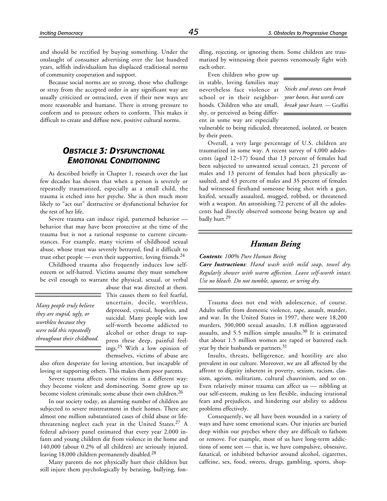and should be rectified by buying something. Under the onslaught of consumer advertising over the last hundred years, selfish individualism has displaced traditional norms of community cooperation and support.

Because social norms are so strong, those who challenge or stray from the accepted order in any significant way are usually criticized or ostracized, even if their new ways are more reasonable and humane. There is strong pressure to conform and to pressure others to conform. This makes it difficult to create and diffuse new, positive cultural norms.

# *OBSTACLE 3: DYSFUNCTIONAL EMOTIONAL CONDITIONING*

As described briefly in Chapter 1, research over the last few decades has shown that when a person is severely or repeatedly traumatized, especially as a small child, the trauma is etched into her psyche. She is then much more likely to "act out" destructive or dysfunctional behavior for the rest of her life.

Severe trauma can induce rigid, patterned behavior behavior that may have been protective at the time of the trauma but is not a rational response to current circumstances. For example, many victims of childhood sexual abuse, whose trust was severely betrayed, find it difficult to trust other people — even their supportive, loving friends. $^{24}$ 

Childhood trauma also frequently induces low selfesteem or self-hatred. Victims assume they must somehow be evil enough to warrant the physical, sexual, or verbal

*Many people truly believe they are stupid, ugly, or worthless because they were told this repeatedly throughout their childhood.*

abuse that was directed at them. This causes them to feel fearful,

uncertain, docile, worthless, depressed, cynical, hopeless, and suicidal. Many people with low self-worth become addicted to alcohol or other drugs to suppress these deep, painful feelings.25 With a low opinion of themselves, victims of abuse are

also often desperate for loving attention, but incapable of loving or supporting others. This makes them poor parents.

Severe trauma affects some victims in a different way: they become violent and domineering. Some grow up to become violent criminals; some abuse their own children.<sup>26</sup>

In our society today, an alarming number of children are subjected to severe mistreatment in their homes. There are almost one million substantiated cases of child abuse or lifethreatening neglect each year in the United States.<sup>27</sup> A federal advisory panel estimated that every year 2,000 infants and young children die from violence in the home and 140,000 (about 0.2% of all children) are seriously injured, leaving 18,000 children permanently disabled.<sup>28</sup>

Many parents do not physically hurt their children but still injure them psychologically by berating, bullying, fondling, rejecting, or ignoring them. Some children are traumatized by witnessing their parents venomously fight with each other.

Even children who grow up in stable, loving families may nevertheless face violence at school or in their neighborhoods. Children who are small, shy, or perceived as being different in some way are especially

*Sticks and stones can break your bones, but words can break your heart.* — Graffiti

vulnerable to being ridiculed, threatened, isolated, or beaten by their peers.

Overall, a very large percentage of U.S. children are traumatized in some way. A recent survey of 4,000 adolescents (aged 12–17) found that 13 percent of females had been subjected to unwanted sexual contact, 21 percent of males and 13 percent of females had been physically assaulted, and 43 percent of males and 35 percent of females had witnessed firsthand someone being shot with a gun, knifed, sexually assaulted, mugged, robbed, or threatened with a weapon. An astonishing 72 percent of all the adolescents had directly observed someone being beaten up and badly hurt.<sup>29</sup>

# *Human Being*

*Contents: 100% Pure Human Being*

*Care Instructions: Hand wash with mild soap, towel dry. Regularly shower with warm affection. Leave self-worth intact. Use no bleach. Do not tumble, squeeze, or wring dry.*

Trauma does not end with adolescence, of course. Adults suffer from domestic violence, rape, assault, murder, and war. In the United States in 1997, there were 18,200 murders, 300,000 sexual assaults, 1.8 million aggravated assaults, and 5.5 million simple assaults.<sup>30</sup> It is estimated that about 1.5 million women are raped or battered each year by their husbands or partners.<sup>31</sup>

Insults, threats, belligerence, and hostility are also prevalent in our culture. Moreover, we are all affected by the affront to dignity inherent in poverty, sexism, racism, classism, ageism, militarism, cultural chauvinism, and so on. Even relatively minor trauma can affect us — nibbling at our self-esteem, making us less flexible, inducing irrational fears and prejudices, and hindering our ability to address problems effectively.

Consequently, we all have been wounded in a variety of ways and have some emotional scars. Our injuries are buried deep within our psyches where they are difficult to fathom or remove. For example, most of us have long-term addictions of some sort — that is, we have compulsive, obsessive, fanatical, or inhibited behavior around alcohol, cigarettes, caffeine, sex, food, sweets, drugs, gambling, sports, shop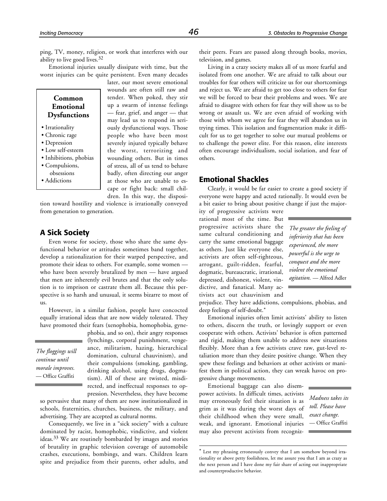ping, TV, money, religion, or work that interferes with our ability to live good lives.<sup>32</sup>

Emotional injuries usually dissipate with time, but the worst injuries can be quite persistent. Even many decades

#### **Common Emotional Dysfunctions**

- Irrationality
- Chronic rage
- Depression
- Low self-esteem
- Inhibitions, phobias
- Compulsions, obsessions
- Addictions

later, our most severe emotional wounds are often still raw and tender. When poked, they stir up a swarm of intense feelings — fear, grief, and anger — that may lead us to respond in seriously dysfunctional ways. Those people who have been most severely injured typically behave the worst, terrorizing and wounding others. But in times of stress, all of us tend to behave badly, often directing our anger at those who are unable to escape or fight back: small children. In this way, the disposi-

tion toward hostility and violence is irrationally conveyed from generation to generation.

# **A Sick Society**

Even worse for society, those who share the same dysfunctional behavior or attitudes sometimes band together, develop a rationalization for their warped perspective, and promote their ideas to others. For example, some women who have been severely brutalized by men — have argued that men are inherently evil brutes and that the only solution is to imprison or castrate them all. Because this perspective is so harsh and unusual, it seems bizarre to most of us.

However, in a similar fashion, people have concocted equally irrational ideas that are now widely tolerated. They have promoted their fears (xenophobia, homophobia, gyne-

*The floggings will continue until morale improves.* — Office Graffiti

phobia, and so on), their angry responses (lynchings, corporal punishment, vengeance, militarism, hazing, hierarchical domination, cultural chauvinism), and their compulsions (smoking, gambling, drinking alcohol, using drugs, dogmatism). All of these are twisted, misdirected, and ineffectual responses to oppression. Nevertheless, they have become

so pervasive that many of them are now institutionalized in schools, fraternities, churches, business, the military, and advertising. They are accepted as cultural norms.

Consequently, we live in a "sick society" with a culture dominated by racist, homophobic, vindictive, and violent ideas.33 We are routinely bombarded by images and stories of brutality in graphic television coverage of automobile crashes, executions, bombings, and wars. Children learn spite and prejudice from their parents, other adults, and

their peers. Fears are passed along through books, movies, television, and games.

Living in a crazy society makes all of us more fearful and isolated from one another. We are afraid to talk about our troubles for fear others will criticize us for our shortcomings and reject us. We are afraid to get too close to others for fear we will be forced to bear their problems and woes. We are afraid to disagree with others for fear they will show us to be wrong or assault us. We are even afraid of working with those with whom we agree for fear they will abandon us in trying times. This isolation and fragmentation make it difficult for us to get together to solve our mutual problems or to challenge the power elite. For this reason, elite interests often encourage individualism, social isolation, and fear of others.

#### **Emotional Shackles**

Clearly, it would be far easier to create a good society if everyone were happy and acted rationally. It would even be a bit easier to bring about positive change if just the major-

ity of progressive activists were rational most of the time. But progressive activists share the same cultural conditioning and carry the same emotional baggage as others. Just like everyone else, activists are often self-righteous, arrogant, guilt-ridden, fearful, dogmatic, bureaucratic, irrational, depressed, dishonest, violent, vindictive, and fanatical. Many activists act out chauvinism and

*The greater the feeling of inferiority that has been experienced, the more powerful is the urge to conquest and the more violent the emotional agitation.* — Alfred Adler

prejudice. They have addictions, compulsions, phobias, and deep feelings of self-doubt.\*

Emotional injuries often limit activists' ability to listen to others, discern the truth, or lovingly support or even cooperate with others. Activists' behavior is often patterned and rigid, making them unable to address new situations flexibly. More than a few activists crave raw, gut-level retaliation more than they desire positive change. When they spew these feelings and behaviors at other activists or manifest them in political action, they can wreak havoc on progressive change movements.

Emotional baggage can also disempower activists. In difficult times, activists may erroneously feel their situation is as grim as it was during the worst days of their childhood when they were small, weak, and ignorant. Emotional injuries may also prevent activists from recogniz-

1

*Madness takes its toll. Please have exact change.* — Office Graffiti

<sup>\*</sup> Lest my phrasing erroneously convey that I am somehow beyond irrationality or above petty foolishness, let me assure you that I am as crazy as the next person and I have done my fair share of acting out inappropriate and counterproductive behavior.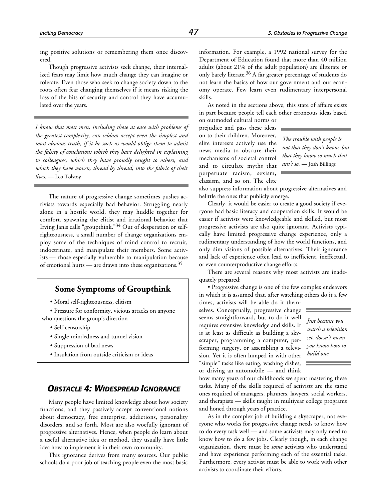ing positive solutions or remembering them once discovered.

Though progressive activists seek change, their internalized fears may limit how much change they can imagine or tolerate. Even those who seek to change society down to the roots often fear changing themselves if it means risking the loss of the bits of security and control they have accumulated over the years.

*I know that most men, including those at ease with problems of the greatest complexity, can seldom accept even the simplest and most obvious truth, if it be such as would oblige them to admit the falsity of conclusions which they have delighted in explaining to colleagues, which they have proudly taught to others, and which they have woven, thread by thread, into the fabric of their lives.* — Leo Tolstoy

The nature of progressive change sometimes pushes activists towards especially bad behavior. Struggling nearly alone in a hostile world, they may huddle together for comfort, spawning the elitist and irrational behavior that Irving Janis calls "groupthink."34 Out of desperation or selfrighteousness, a small number of change organizations employ some of the techniques of mind control to recruit, indoctrinate, and manipulate their members. Some activists — those especially vulnerable to manipulation because of emotional hurts — are drawn into these organizations.<sup>35</sup>

# **Some Symptoms of Groupthink**

• Moral self-righteousness, elitism

• Pressure for conformity, vicious attacks on anyone who questions the group's direction

- Self-censorship
- Single-mindedness and tunnel vision
- Suppression of bad news
- Insulation from outside criticism or ideas

# *OBSTACLE 4: WIDESPREAD IGNORANCE*

Many people have limited knowledge about how society functions, and they passively accept conventional notions about democracy, free enterprise, addictions, personality disorders, and so forth. Most are also woefully ignorant of progressive alternatives. Hence, when people do learn about a useful alternative idea or method, they usually have little idea how to implement it in their own community.

This ignorance derives from many sources. Our public schools do a poor job of teaching people even the most basic information. For example, a 1992 national survey for the Department of Education found that more than 40 million adults (about 21% of the adult population) are illiterate or only barely literate.36 A far greater percentage of students do not learn the basics of how our government and our economy operate. Few learn even rudimentary interpersonal skills.

As noted in the sections above, this state of affairs exists in part because people tell each other erroneous ideas based

on outmoded cultural norms or prejudice and pass these ideas on to their children. Moreover, elite interests actively use the news media to obscure their mechanisms of societal control and to circulate myths that perpetuate racism, sexism, classism, and so on. The elite

*The trouble with people is not that they don't know, but that they know so much that ain't so.* — Josh Billings

also suppress information about progressive alternatives and belittle the ones that publicly emerge.

Clearly, it would be easier to create a good society if everyone had basic literacy and cooperation skills. It would be easier if activists were knowledgeable and skilled, but most progressive activists are also quite ignorant. Activists typically have limited progressive change experience, only a rudimentary understanding of how the world functions, and only dim visions of possible alternatives. Their ignorance and lack of experience often lead to inefficient, ineffectual, or even counterproductive change efforts.

There are several reasons why most activists are inadequately prepared:

• Progressive change is one of the few complex endeavors in which it is assumed that, after watching others do it a few

times, activists will be able do it themselves. Conceptually, progressive change seems straightforward, but to do it well requires extensive knowledge and skills. It is at least as difficult as building a skyscraper, programming a computer, performing surgery, or assembling a television. Yet it is often lumped in with other "simple" tasks like eating, washing dishes, or driving an automobile — and think

*Just because you watch a television set, doesn't mean you know how to build one.*

how many years of our childhoods we spent mastering these tasks. Many of the skills required of activists are the same ones required of managers, planners, lawyers, social workers, and therapists — skills taught in multiyear college programs and honed through years of practice.

As in the complex job of building a skyscraper, not everyone who works for progressive change needs to know how to do every task well — and some activists may only need to know how to do a few jobs. Clearly though, in each change organization, there must be *some* activists who understand and have experience performing each of the essential tasks. Furthermore, every activist must be able to work with other activists to coordinate their efforts.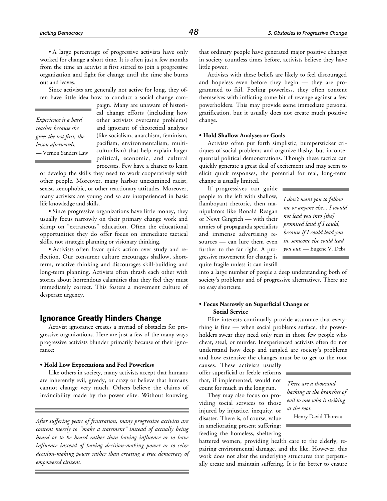• A large percentage of progressive activists have only worked for change a short time. It is often just a few months from the time an activist is first stirred to join a progressive organization and fight for change until the time she burns out and leaves.

Since activists are generally not active for long, they often have little idea how to conduct a social change cam-

*Experience is a hard teacher because she gives the test first, the lesson afterwards.* — Vernon Sanders Law paign. Many are unaware of historical change efforts (including how other activists overcame problems) and ignorant of theoretical analyses (like socialism, anarchism, feminism, pacifism, environmentalism, multiculturalism) that help explain larger political, economic, and cultural processes. Few have a chance to learn

or develop the skills they need to work cooperatively with other people. Moreover, many harbor unexamined racist, sexist, xenophobic, or other reactionary attitudes. Moreover, many activists are young and so are inexperienced in basic life knowledge and skills.

• Since progressive organizations have little money, they usually focus narrowly on their primary change work and skimp on "extraneous" education. Often the educational opportunities they do offer focus on immediate tactical skills, not strategic planning or visionary thinking.

• Activists often favor quick action over study and reflection. Our consumer culture encourages shallow, shortterm, reactive thinking and discourages skill-building and long-term planning. Activists often thrash each other with stories about horrendous calamities that they feel they must immediately correct. This fosters a movement culture of desperate urgency.

#### **Ignorance Greatly Hinders Change**

Activist ignorance creates a myriad of obstacles for progressive organizations. Here are just a few of the many ways progressive activists blunder primarily because of their ignorance:

#### **• Hold Low Expectations and Feel Powerless**

Like others in society, many activists accept that humans are inherently evil, greedy, or crazy or believe that humans cannot change very much. Others believe the claims of invincibility made by the power elite. Without knowing

*After suffering years of frustration, many progressive activists are content merely to "make a statement" instead of actually being heard or to be heard rather than having influence or to have influence instead of having decision-making power or to seize decision-making power rather than creating a true democracy of empowered citizens.*

that ordinary people have generated major positive changes in society countless times before, activists believe they have little power.

Activists with these beliefs are likely to feel discouraged and hopeless even before they begin — they are programmed to fail. Feeling powerless, they often content themselves with inflicting some bit of revenge against a few powerholders. This may provide some immediate personal gratification, but it usually does not create much positive change.

#### **• Hold Shallow Analyses or Goals**

Activists often put forth simplistic, bumpersticker critiques of social problems and organize flashy, but inconsequential political demonstrations. Though these tactics can quickly generate a great deal of excitement and may seem to elicit quick responses, the potential for real, long-term change is usually limited.

If progressives can guide people to the left with shallow, flamboyant rhetoric, then manipulators like Ronald Reagan or Newt Gingrich — with their armies of propaganda specialists and immense advertising resources — can lure them even further to the far right. A progressive movement for change is quite fragile unless it can instill

*I don't want you to follow me or anyone else... I would not lead you into [the] promised land if I could, because if I could lead you in, someone else could lead you out.* — Eugene V. Debs

into a large number of people a deep understanding both of society's problems and of progressive alternatives. There are no easy shortcuts.

#### **• Focus Narrowly on Superficial Change or Social Service**

Elite interests continually provide assurance that everything is fine — when social problems surface, the powerholders swear they need only rein in those few people who cheat, steal, or murder. Inexperienced activists often do not understand how deep and tangled are society's problems and how extensive the changes must be to get to the root

causes. These activists usually offer superficial or feeble reforms that, if implemented, would not count for much in the long run.

They may also focus on providing social services to those injured by injustice, inequity, or disaster. There is, of course, value in ameliorating present suffering: feeding the homeless, sheltering

*There are a thousand hacking at the branches of evil to one who is striking at the root.*

— Henry David Thoreau

battered women, providing health care to the elderly, repairing environmental damage, and the like. However, this work does not alter the underlying structures that perpetually create and maintain suffering. It is far better to ensure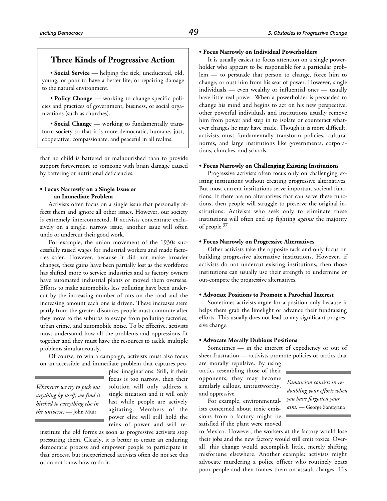• **Social Service** — helping the sick, uneducated, old, young, or poor to have a better life; or repairing damage to the natural environment.

• **Policy Change** — working to change specific policies and practices of government, business, or social organizations (such as churches).

• **Social Change** — working to fundamentally transform society so that it is more democratic, humane, just, cooperative, compassionate, and peaceful in all realms.

that no child is battered or malnourished than to provide support forevermore to someone with brain damage caused by battering or nutritional deficiencies.

#### **• Focus Narrowly on a Single Issue or an Immediate Problem**

Activists often focus on a single issue that personally affects them and ignore all other issues. However, our society is extremely interconnected. If activists concentrate exclusively on a single, narrow issue, another issue will often undo or undercut their good work.

For example, the union movement of the 1930s successfully raised wages for industrial workers and made factories safer. However, because it did not make broader changes, these gains have been partially lost as the workforce has shifted more to service industries and as factory owners have automated industrial plants or moved them overseas. Efforts to make automobiles less polluting have been undercut by the increasing number of cars on the road and the increasing amount each one is driven. These increases stem partly from the greater distances people must commute after they move to the suburbs to escape from polluting factories, urban crime, and automobile noise. To be effective, activists must understand how all the problems and oppressions fit together and they must have the resources to tackle multiple problems simultaneously.

Of course, to win a campaign, activists must also focus on an accessible and immediate problem that captures peo-

*Whenever we try to pick out anything by itself, we find it hitched to everything else in the universe.* — John Muir

ples' imaginations. Still, if their focus is too narrow, then their solution will only address a single situation and it will only last while people are actively agitating. Members of the power elite will still hold the reins of power and will re-

institute the old forms as soon as progressive activists stop pressuring them. Clearly, it is better to create an enduring democratic process and empower people to participate in that process, but inexperienced activists often do not see this or do not know how to do it.

#### **• Focus Narrowly on Individual Powerholders**

It is usually easiest to focus attention on a single powerholder who appears to be responsible for a particular problem — to persuade that person to change, force him to change, or oust him from his seat of power. However, single individuals — even wealthy or influential ones — usually have little real power. When a powerholder is persuaded to change his mind and begins to act on his new perspective, other powerful individuals and institutions usually remove him from power and step in to isolate or counteract whatever changes he may have made. Though it is more difficult, activists must fundamentally transform policies, cultural norms, and large institutions like governments, corporations, churches, and schools.

#### **• Focus Narrowly on Challenging Existing Institutions**

Progressive activists often focus only on challenging existing institutions without creating progressive alternatives. But most current institutions serve important societal functions. If there are no alternatives that can serve these functions, then people will struggle to preserve the original institutions. Activists who seek only to eliminate these institutions will often end up fighting *against* the majority of people.37

#### **• Focus Narrowly on Progressive Alternatives**

Other activists take the opposite tack and only focus on building progressive alternative institutions. However, if activists do not undercut existing institutions, then those institutions can usually use their strength to undermine or out-compete the progressive alternatives.

#### **• Advocate Positions to Promote a Parochial Interest**

Sometimes activists argue for a position only because it helps them grab the limelight or advance their fundraising efforts. This usually does not lead to any significant progressive change.

#### **• Advocate Morally Dubious Positions**

Sometimes — in the interest of expediency or out of sheer frustration — activists promote policies or tactics that

are morally repulsive. By using tactics resembling those of their opponents, they may become similarly callous, untrustworthy, and oppressive.

For example, environmentalists concerned about toxic emissions from a factory might be satisfied if the plant were moved

*Fanaticism consists in redoubling your efforts when you have forgotten your aim.* — George Santayana

to Mexico. However, the workers at the factory would lose their jobs and the new factory would still emit toxics. Overall, this change would accomplish little, merely shifting misfortune elsewhere. Another example: activists might advocate murdering a police officer who routinely beats poor people and then frames them on assault charges. His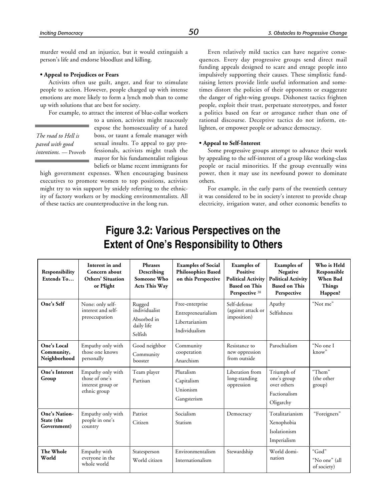murder would end an injustice, but it would extinguish a person's life and endorse bloodlust and killing.

#### **• Appeal to Prejudices or Fears**

Activists often use guilt, anger, and fear to stimulate people to action. However, people charged up with intense emotions are more likely to form a lynch mob than to come up with solutions that are best for society.

For example, to attract the interest of blue-collar workers

*The road to Hell is paved with good intentions.* — Proverb to a union, activists might raucously expose the homosexuality of a hated boss, or taunt a female manager with sexual insults. To appeal to gay professionals, activists might trash the mayor for his fundamentalist religious beliefs or blame recent immigrants for

high government expenses. When encouraging business executives to promote women to top positions, activists might try to win support by snidely referring to the ethnicity of factory workers or by mocking environmentalists. All of these tactics are counterproductive in the long run.

Even relatively mild tactics can have negative consequences. Every day progressive groups send direct mail funding appeals designed to scare and enrage people into impulsively supporting their causes. These simplistic fundraising letters provide little useful information and sometimes distort the policies of their opponents or exaggerate the danger of right-wing groups. Dishonest tactics frighten people, exploit their trust, perpetuate stereotypes, and foster a politics based on fear or arrogance rather than one of rational discourse. Deceptive tactics do not inform, enlighten, or empower people or advance democracy.

#### **• Appeal to Self-Interest**

Some progressive groups attempt to advance their work by appealing to the self-interest of a group like working-class people or racial minorities. If the group eventually wins power, then it may use its newfound power to dominate others.

For example, in the early parts of the twentieth century it was considered to be in society's interest to provide cheap electricity, irrigation water, and other economic benefits to

# **Figure 3.2: Various Perspectives on the Extent of One's Responsibility to Others**

| Responsibility<br>Extends To               | Interest in and<br>Concern about<br><b>Others' Situation</b><br>or Plight | <b>Phrases</b><br>Describing<br>Someone Who<br><b>Acts This Way</b> | <b>Examples of Social</b><br><b>Philosophies Based</b><br>on this Perspective | <b>Examples</b> of<br><b>Positive</b><br><b>Political Activity</b><br><b>Based on This</b><br>Perspective 38 | <b>Examples</b> of<br>Negative<br><b>Political Activity</b><br><b>Based on This</b><br>Perspective | Who is Held<br>Responsible<br>When Bad<br><b>Things</b><br>Happen? |
|--------------------------------------------|---------------------------------------------------------------------------|---------------------------------------------------------------------|-------------------------------------------------------------------------------|--------------------------------------------------------------------------------------------------------------|----------------------------------------------------------------------------------------------------|--------------------------------------------------------------------|
| One's Self                                 | None: only self-<br>interest and self-<br>preoccupation                   | Rugged<br>individualist<br>Absorbed in<br>daily life<br>Selfish     | Free-enterprise<br>Entrepreneurialism<br>Libertarianism<br>Individualism      | Self-defense<br>(against attack or<br>imposition)                                                            | Apathy<br>Selfishness                                                                              | "Not me"                                                           |
| One's Local<br>Community,<br>Neighborhood  | Empathy only with<br>those one knows<br>personally                        | Good neighbor<br>Community<br>booster                               | Community<br>cooperation<br>Anarchism                                         | Resistance to<br>new oppression<br>from outside                                                              | Parochialism                                                                                       | "No one I<br>know"                                                 |
| One's Interest<br>Group                    | Empathy only with<br>those of one's<br>interest group or<br>ethnic group  | Team player<br>Partisan                                             | Pluralism<br>Capitalism<br>Unionism<br>Gangsterism                            | Liberation from<br>long-standing<br>oppression                                                               | Triumph of<br>one's group<br>over others<br>Factionalism<br>Oligarchy                              | "Them"<br>(the other<br>group)                                     |
| One's Nation-<br>State (the<br>Government) | Empathy only with<br>people in one's<br>country                           | Patriot<br>Citizen                                                  | Socialism<br>Statism                                                          | Democracy                                                                                                    | Totalitarianism<br>Xenophobia<br>Isolationism<br>Imperialism                                       | "Foreigners"                                                       |
| The Whole<br>World                         | Empathy with<br>everyone in the<br>whole world                            | Statesperson<br>World citizen                                       | Environmentalism<br>Internationalism                                          | Stewardship                                                                                                  | World domi-<br>nation                                                                              | "God"<br>"No one" (all<br>of society)                              |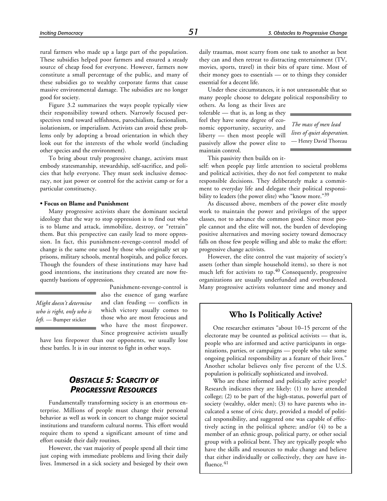rural farmers who made up a large part of the population. These subsidies helped poor farmers and ensured a steady source of cheap food for everyone. However, farmers now constitute a small percentage of the public, and many of these subsidies go to wealthy corporate farms that cause massive environmental damage. The subsidies are no longer good for society.

Figure 3.2 summarizes the ways people typically view their responsibility toward others. Narrowly focused perspectives tend toward selfishness, parochialism, factionalism, isolationism, or imperialism. Activists can avoid these problems only by adopting a broad orientation in which they look out for the interests of the whole world (including other species and the environment).

To bring about truly progressive change, activists must embody statesmanship, stewardship, self-sacrifice, and policies that help everyone. They must seek inclusive democracy, not just power or control for the activist camp or for a particular constituency.

#### **• Focus on Blame and Punishment**

Many progressive activists share the dominant societal ideology that the way to stop oppression is to find out who is to blame and attack, immobilize, destroy, or "retrain" them. But this perspective can easily lead to more oppression. In fact, this punishment-revenge-control model of change is the same one used by those who originally set up prisons, military schools, mental hospitals, and police forces. Though the founders of these institutions may have had good intentions, the institutions they created are now frequently bastions of oppression.

*Might doesn't determine who is right, only who is left.* — Bumper sticker

Punishment-revenge-control is also the essence of gang warfare and clan feuding — conflicts in which victory usually comes to those who are most ferocious and who have the most firepower. Since progressive activists usually

have less firepower than our opponents, we usually lose these battles. It is in our interest to fight in other ways.

# *OBSTACLE 5: SCARCITY OF PROGRESSIVE RESOURCES*

Fundamentally transforming society is an enormous enterprise. Millions of people must change their personal behavior as well as work in concert to change major societal institutions and transform cultural norms. This effort would require them to spend a significant amount of time and effort outside their daily routines.

However, the vast majority of people spend all their time just coping with immediate problems and living their daily lives. Immersed in a sick society and besieged by their own

daily traumas, most scurry from one task to another as best they can and then retreat to distracting entertainment (TV, movies, sports, travel) in their bits of spare time. Most of their money goes to essentials — or to things they consider essential for a decent life.

Under these circumstances, it is not unreasonable that so many people choose to delegate political responsibility to

others. As long as their lives are tolerable — that is, as long as they feel they have some degree of economic opportunity, security, and liberty — then most people will passively allow the power elite to maintain control.

*The mass of men lead lives of quiet desperation.* — Henry David Thoreau

This passivity then builds on it-

self: when people pay little attention to societal problems and political activities, they do not feel competent to make responsible decisions. They deliberately make a commitment to everyday life and delegate their political responsibility to leaders (the power elite) who "know more."39

As discussed above, members of the power elite mostly work to maintain the power and privileges of the upper classes, not to advance the common good. Since most people cannot and the elite will not, the burden of developing positive alternatives and moving society toward democracy falls on those few people willing and able to make the effort: progressive change activists.

However, the elite control the vast majority of society's assets (other than simple household items), so there is not much left for activists to tap.40 Consequently, progressive organizations are usually underfunded and overburdened. Many progressive activists volunteer time and money and

# **Who Is Politically Active?**

One researcher estimates "about 10–15 percent of the electorate may be counted as political activists — that is, people who are informed and active participants in organizations, parties, or campaigns — people who take some ongoing political responsibility as a feature of their lives." Another scholar believes only five percent of the U.S. population is politically sophisticated and involved.

Who are these informed and politically active people? Research indicates they are likely: (1) to have attended college; (2) to be part of the high-status, powerful part of society (wealthy, older men); (3) to have parents who inculcated a sense of civic duty, provided a model of political responsibility, and suggested one was capable of effectively acting in the political sphere; and/or (4) to be a member of an ethnic group, political party, or other social group with a political bent. They are typically people who have the skills and resources to make change and believe that either individually or collectively, they *can* have influence.<sup>41</sup>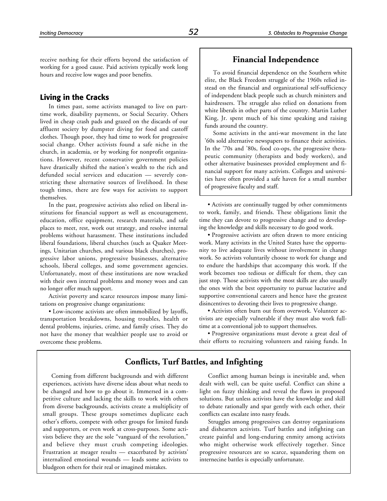receive nothing for their efforts beyond the satisfaction of working for a good cause. Paid activists typically work long hours and receive low wages and poor benefits.

#### **Living in the Cracks**

In times past, some activists managed to live on parttime work, disability payments, or Social Security. Others lived in cheap crash pads and grazed on the discards of our affluent society by dumpster diving for food and castoff clothes. Though poor, they had time to work for progressive social change. Other activists found a safe niche in the church, in academia, or by working for nonprofit organizations. However, recent conservative government policies have drastically shifted the nation's wealth to the rich and defunded social services and education — severely constricting these alternative sources of livelihood. In these tough times, there are few ways for activists to support themselves.

In the past, progressive activists also relied on liberal institutions for financial support as well as encouragement, education, office equipment, research materials, and safe places to meet, rest, work out strategy, and resolve internal problems without harassment. These institutions included liberal foundations, liberal churches (such as Quaker Meetings, Unitarian churches, and various black churches), progressive labor unions, progressive businesses, alternative schools, liberal colleges, and some government agencies. Unfortunately, most of these institutions are now wracked with their own internal problems and money woes and can no longer offer much support.

Activist poverty and scarce resources impose many limitations on progressive change organizations:

• Low-income activists are often immobilized by layoffs, transportation breakdowns, housing troubles, health or dental problems, injuries, crime, and family crises. They do not have the money that wealthier people use to avoid or overcome these problems.

### **Financial Independence**

To avoid financial dependence on the Southern white elite, the Black Freedom struggle of the 1960s relied instead on the financial and organizational self-sufficiency of independent black people such as church ministers and hairdressers. The struggle also relied on donations from white liberals in other parts of the country. Martin Luther King, Jr. spent much of his time speaking and raising funds around the country.

Some activists in the anti-war movement in the late '60s sold alternative newspapers to finance their activities. In the '70s and '80s, food co-ops, the progressive therapeutic community (therapists and body workers), and other alternative businesses provided employment and financial support for many activists. Colleges and universities have often provided a safe haven for a small number of progressive faculty and staff.

• Activists are continually tugged by other commitments to work, family, and friends. These obligations limit the time they can devote to progressive change and to developing the knowledge and skills necessary to do good work.

• Progressive activists are often drawn to more enticing work. Many activists in the United States have the opportunity to live adequate lives without involvement in change work. So activists voluntarily choose to work for change and to endure the hardships that accompany this work. If the work becomes too tedious or difficult for them, they can just stop. Those activists with the most skills are also usually the ones with the best opportunity to pursue lucrative and supportive conventional careers and hence have the greatest disincentives to devoting their lives to progressive change.

• Activists often burn out from overwork. Volunteer activists are especially vulnerable if they must also work fulltime at a conventional job to support themselves.

• Progressive organizations must devote a great deal of their efforts to recruiting volunteers and raising funds. In

# **Conflicts, Turf Battles, and Infighting**

Coming from different backgrounds and with different experiences, activists have diverse ideas about what needs to be changed and how to go about it. Immersed in a competitive culture and lacking the skills to work with others from diverse backgrounds, activists create a multiplicity of small groups. These groups sometimes duplicate each other's efforts, compete with other groups for limited funds and supporters, or even work at cross-purposes. Some activists believe they are the sole "vanguard of the revolution," and believe they must crush competing ideologies. Frustration at meager results — exacerbated by activists' internalized emotional wounds — leads some activists to bludgeon others for their real or imagined mistakes.

Conflict among human beings is inevitable and, when dealt with well, can be quite useful. Conflict can shine a light on fuzzy thinking and reveal the flaws in proposed solutions. But unless activists have the knowledge and skill to debate rationally and spar gently with each other, their conflicts can escalate into nasty feuds.

Struggles among progressives can destroy organizations and dishearten activists. Turf battles and infighting can create painful and long-enduring enmity among activists who might otherwise work effectively together. Since progressive resources are so scarce, squandering them on internecine battles is especially unfortunate.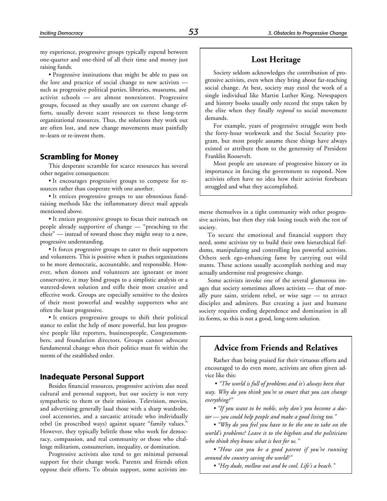my experience, progressive groups typically expend between one-quarter and one-third of all their time and money just raising funds.

• Progressive institutions that might be able to pass on the lore and practice of social change to new activists such as progressive political parties, libraries, museums, and activist schools — are almost nonexistent. Progressive groups, focused as they usually are on current change efforts, usually devote scant resources to these long-term organizational resources. Thus, the solutions they work out are often lost, and new change movements must painfully re–learn or re-invent them.

# **Scrambling for Money**

This desperate scramble for scarce resources has several other negative consequences:

• It encourages progressive groups to compete for resources rather than cooperate with one another.

• It entices progressive groups to use obnoxious fundraising methods like the inflammatory direct mail appeals mentioned above.

• It entices progressive groups to focus their outreach on people already supportive of change — "preaching to the choir" — instead of toward those they might sway to a new, progressive understanding.

• It forces progressive groups to cater to their supporters and volunteers. This is positive when it pushes organizations to be more democratic, accountable, and responsible. However, when donors and volunteers are ignorant or more conservative, it may bind groups to a simplistic analysis or a watered-down solution and stifle their most creative and effective work. Groups are especially sensitive to the desires of their most powerful and wealthy supporters who are often the least progressive.

• It entices progressive groups to shift their political stance to enlist the help of more powerful, but less progressive people like reporters, businesspeople, Congressmembers, and foundation directors. Groups cannot advocate fundamental change when their politics must fit within the norms of the established order.

#### **Inadequate Personal Support**

Besides financial resources, progressive activists also need cultural and personal support, but our society is not very sympathetic to them or their mission. Television, movies, and advertising generally laud those with a sharp wardrobe, cool accessories, and a sarcastic attitude who individually rebel (in proscribed ways) against square "family values." However, they typically belittle those who work for democracy, compassion, and real community or those who challenge militarism, consumerism, inequality, or domination.

Progressive activists also tend to get minimal personal support for their change work. Parents and friends often oppose their efforts. To obtain support, some activists im-

# **Lost Heritage**

Society seldom acknowledges the contribution of progressive activists, even when they bring about far-reaching social change. At best, society may extol the work of a single individual like Martin Luther King. Newspapers and history books usually only record the steps taken by the elite when they finally *respond* to social movement demands.

For example, years of progressive struggle won both the forty-hour workweek and the Social Security program, but most people assume these things have always existed or attribute them to the generosity of President Franklin Roosevelt.

Most people are unaware of progressive history or its importance in forcing the government to respond. New activists often have no idea how their activist forebears struggled and what they accomplished.

merse themselves in a tight community with other progressive activists, but then they risk losing touch with the rest of society.

To secure the emotional and financial support they need, some activists try to build their own hierarchical fiefdoms, manipulating and controlling less powerful activists. Others seek ego-enhancing fame by carrying out wild stunts. These actions usually accomplish nothing and may actually undermine real progressive change.

Some activists invoke one of the several glamorous images that society sometimes allows activists — that of morally pure saint, strident rebel, or wise sage — to attract disciples and admirers. But creating a just and humane society requires ending dependence and domination in all its forms, so this is not a good, long-term solution.

# **Advice from Friends and Relatives**

Rather than being praised for their virtuous efforts and encouraged to do even more, activists are often given advice like this:

 • *"The world is full of problems and it's always been that way. Why do you think you're so smart that you can change everything?"*

*• "If you want to be noble, why don't you become a doctor — you could help people and make a good living too."*

*• "Why do you feel you have to be the one to take on the world's problems? Leave it to the bigshots and the politicians who think they know what is best for us."*

*• "How can you be a good parent if you're running around the country saving the world?"*

*• "Hey dude, mellow out and be cool. Life's a beach."*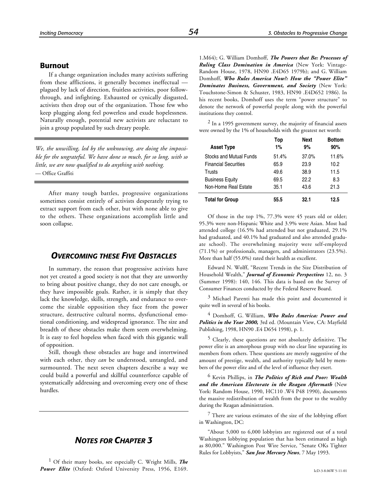#### **Burnout**

If a change organization includes many activists suffering from these afflictions, it generally becomes ineffectual plagued by lack of direction, fruitless activities, poor followthrough, and infighting. Exhausted or cynically disgusted, activists then drop out of the organization. Those few who keep plugging along feel powerless and exude hopelessness. Naturally enough, potential new activists are reluctant to join a group populated by such dreary people.

*We, the unwilling, led by the unknowing, are doing the impossible for the ungrateful. We have done so much, for so long, with so little, we are now qualified to do anything with nothing.* — Office Graffiti

After many tough battles, progressive organizations sometimes consist entirely of activists desperately trying to extract support from each other, but with none able to give to the others. These organizations accomplish little and soon collapse.

# *OVERCOMING THESE FIVE OBSTACLES*

In summary, the reason that progressive activists have not yet created a good society is not that they are unworthy to bring about positive change, they do not care enough, or they have impossible goals. Rather, it is simply that they lack the knowledge, skills, strength, and endurance to overcome the sizable opposition they face from the power structure, destructive cultural norms, dysfunctional emotional conditioning, and widespread ignorance. The size and breadth of these obstacles make them seem overwhelming. It is easy to feel hopeless when faced with this gigantic wall of opposition.

Still, though these obstacles are huge and intertwined with each other, they *can* be understood, untangled, and surmounted. The next seven chapters describe a way we could build a powerful and skillful counterforce capable of systematically addressing and overcoming every one of these hurdles.

# *NOTES FOR CHAPTER 3*

1 Of their many books, see especially C. Wright Mills, *The Power Elite* (Oxford: Oxford University Press, 1956, E169.

1.M64); G. William Domhoff, *The Powers that Be: Processes of Ruling Class Domination in America* (New York: Vintage-Random House, 1978, HN90 .E4D65 1979b); and G. William Domhoff, *Who Rules America Now?: How the "Power Elite" Dominates Business, Government, and Society* (New York: Touchstone-Simon & Schuster, 1983, HN90 .E4D652 1986). In his recent books, Domhoff uses the term "power structure" to denote the network of powerful people along with the powerful institutions they control.

 $<sup>2</sup>$  In a 1995 government survey, the majority of financial assets</sup> were owned by the 1% of households with the greatest net worth:

| <b>Asset Type</b>           | Top<br>1% | Next<br>9% | <b>Bottom</b><br>90% |
|-----------------------------|-----------|------------|----------------------|
| Stocks and Mutual Funds     | 51.4%     | 37.0%      | 11.6%                |
| <b>Financial Securities</b> | 65.9      | 23.9       | 10.2                 |
| Trusts                      | 49.6      | 38.9       | 11.5                 |
| <b>Business Equity</b>      | 69.5      | 22.2       | 8.3                  |
| Non-Home Real Estate        | 35.1      | 43.6       | 21.3                 |
| <b>Total for Group</b>      | 55.5      | 32.1       | 12.5                 |

Of those in the top 1%, 77.3% were 45 years old or older; 95.3% were non-Hispanic White and 3.9% were Asian. Most had attended college (16.5% had attended but not graduated, 29.1% had graduated, and 40.1% had graduated and also attended graduate school). The overwhelming majority were self-employed (71.1%) or professionals, managers, and administrators (23.5%). More than half (55.0%) rated their health as excellent.

Edward N. Wolff, "Recent Trends in the Size Distribution of Household Wealth," *Journal of Economic Perspectives* 12, no. 3 (Summer 1998): 140, 146. This data is based on the Survey of Consumer Finances conducted by the Federal Reserve Board.

 $3$  Michael Parenti has made this point and documented it quite well in several of his books.

4 Domhoff, G. William, *Who Rules America: Power and Politics in the Year 2000,* 3rd ed. (Mountain View, CA: Mayfield Publishing, 1998, HN90 .E4 D654 1998), p. 1.

5 Clearly, these questions are not absolutely definitive. The power elite is an amorphous group with no clear line separating its members from others. These questions are merely suggestive of the amount of prestige, wealth, and authority typically held by members of the power elite and of the level of influence they exert.

6 Kevin Phillips, in *The Politics of Rich and Poor: Wealth and the American Electorate in the Reagan Aftermath* (New York: Random House, 1990, HC110 .W4 P48 1990), documents the massive redistribution of wealth from the poor to the wealthy during the Reagan administration.

 $7$  There are various estimates of the size of the lobbying effort in Washington, DC:

"About 5,000 to 6,000 lobbyists are registered out of a total Washington lobbying population that has been estimated as high as 80,000." Washington Post Wire Service, "Senate OKs Tighter Rules for Lobbyists," *San Jose Mercury News*, 7 May 1993.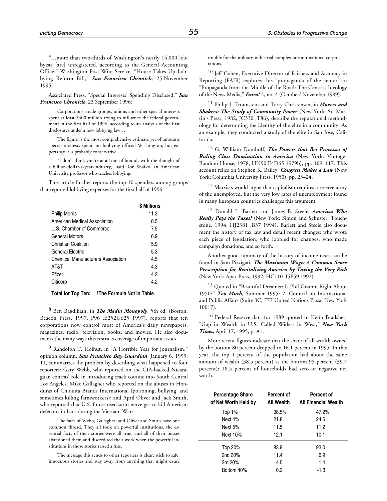"…more than two-thirds of Washington's nearly 14,000 lobbyists [are] unregistered, according to the General Accounting Office." Washington Post Wire Service, "House Takes Up Lobbying Reform Bill," *San Francisco Chronicle*, 25 November 1995.

Associated Press, "Special Interests' Spending Disclosed," *San Francisco Chronicle*, 23 September 1996:

Corporations, trade groups, unions and other special interests spent at least \$400 million trying to influence the federal government in the first half of 1996, according to an analysis of the first disclosures under a new lobbying law…

The figure is the most comprehensive estimate yet of amounts special interests spend on lobbying official Washington, but experts say it is probably conservative.

"I don't think you're at all out of bounds with the thought of a billion-dollar-a-year-industry," said Ron Shaiko, an American University professor who teaches lobbying.

This article further reports the top 10 spenders among groups that reported lobbying expenses for the first half of 1996:

|                                           | <b>S</b> Millions |
|-------------------------------------------|-------------------|
| <b>Philip Morris</b>                      | 11.3              |
| American Medical Association              | 8.5               |
| U.S. Chamber of Commerce                  | 7.5               |
| General Motors                            | 6.9               |
| Christian Coalition                       | 5.9               |
| General Flectric                          | 5.3               |
| <b>Chemical Manufacturers Association</b> | 4.5               |
| AT&T                                      | 4.3               |
| Pfizer                                    | 4.2               |
| Citicorp                                  | 42                |
|                                           |                   |

**Total for Top Ten: !The Formula Not In Table**

8 Ben Bagdikian, in *The Media Monopoly*, 5th ed. (Boston: Beacon Press, 1997, P96 .E252U625 1997), reports that ten corporations now control most of America's daily newspapers, magazines, radio, television, books, and movies. He also documents the many ways this restricts coverage of important issues.

<sup>9</sup> Randolph T. Holhut, in "A Horrible Year for Journalism," opinion column, *San Francisco Bay Guardian*, January 6, 1999: 11, summarizes the problem by describing what happened to four reporters: Gary Webb, who reported on the CIA-backed Nicaraguan contras' role in introducing crack cocaine into South Central Los Angeles; Mike Gallagher who reported on the abuses in Honduras of Chiquita Brands International (poisoning, bullying, and sometimes killing farmworkers); and April Oliver and Jack Smith, who reported that U.S. forces used sarin nerve gas to kill American defectors in Laos during the Vietnam War:

The fates of Webb, Gallagher, and Oliver and Smith have one common thread. They all took on powerful institutions, the essential facts of their stories were all true, and all of their bosses abandoned them and discredited their work when the powerful institutions in those stories raised a fuss.

The message this sends to other reporters is clear: stick to safe, innocuous stories and stay away from anything that might cause trouble for the military-industrial complex or multinational corporations.

10 Jeff Cohen, Executive Director of Fairness and Accuracy in Reporting (FAIR) explores this "propaganda of the center" in "Propaganda from the Middle of the Road: The Centrist Ideology of the News Media," *Extra!* 2, no. 4 (October/ November 1989).

11 Philip J. Trounstein and Terry Christensen, in *Movers and Shakers: The Study of Community Power* (New York: St. Martin's Press, 1982, JC330 .T86), describe the reputational methodology for determining the identity of the elite in a community. As an example, they conducted a study of the elite in San Jose, California.

12 G. William Domhoff, *The Powers that Be: Processes of Ruling Class Domination in America* (New York: Vintage-Random House, 1978, HN90.E4D65 1979b), pp. 109–117. This account relies on Stephen K. Bailey, *Congress Makes a Law* (New York: Columbia University Press, 1950), pp. 23–24.

 $13$  Marxists would argue that capitalism requires a reserve army of the unemployed, but the very low rates of unemployment found in many European countries challenges this argument.

14 Donald L. Barlett and James B. Steele, *America: Who Really Pays the Taxes?* (New York: Simon and Schuster, Touchstone, 1994, HJ2381 .B37 1994). Barlett and Steele also document the history of tax law and detail recent changes: who wrote each piece of legislation, who lobbied for changes, who made campaign donations, and so forth.

Another good summary of the history of income taxes can be found in Sam Pizzigati, *The Maximum Wage: A Common-Sense Prescription for Revitalizing America by Taxing the Very Rich* (New York: Apex Press, 1992, HC110 .I5P59 1992).

15 Quoted in "Beautiful Dreamer: Is Phil Gramm Right About 1950?" *Too Much*, Summer 1995: 2, Council on International and Public Affairs (Suite 3C, 777 United Nations Plaza, New York 10017).

16 Federal Reserve data for 1989 quoted in Keith Bradsher, "Gap in Wealth in U.S. Called Widest in West," *New York Times*, April 17, 1995, p. A1.

More recent figures indicate that the share of all wealth owned by the bottom 80 percent dropped to 16.1 percent in 1995. In this year, the top 1 percent of the population had about the same amount of wealth (38.5 percent) as the bottom 95 percent (39.7 percent); 18.5 percent of households had zero or negative net worth.

| <b>Percentage Share</b><br>of Net Worth Held by | Percent of<br>All Wealth | Percent of<br><b>All Financial Wealth</b> |
|-------------------------------------------------|--------------------------|-------------------------------------------|
| Top $1%$                                        | 38.5%                    | 47.2%                                     |
| Next 4%                                         | 21.8                     | 24.6                                      |
| Next 5%                                         | 11.5                     | 11.2                                      |
| Next 10%                                        | 12.1                     | 10.1                                      |
| Top 20%                                         | 83.9                     | 93.0                                      |
| 2nd 20%                                         | 11.4                     | 6.9                                       |
| 3rd 20%                                         | 4.5                      | 1.4                                       |
| Bottom 40%                                      | 0.2                      | $-1.3$                                    |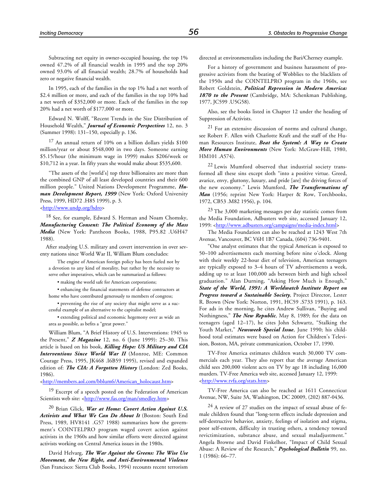Subtracting net equity in owner-occupied housing, the top 1% owned 47.2% of all financial wealth in 1995 and the top 20% owned 93.0% of all financial wealth; 28.7% of households had zero or negative financial wealth.

In 1995, each of the families in the top 1% had a net worth of \$2.4 million or more, and each of the families in the top 10% had a net worth of \$352,000 or more. Each of the families in the top 20% had a net worth of \$177,000 or more.

Edward N. Wolff, "Recent Trends in the Size Distribution of Household Wealth," *Journal of Economic Perspectives* 12, no. 3 (Summer 1998): 131–150, especially p. 136.

17 An annual return of 10% on a billion dollars yields \$100 million/year or about \$548,000 in two days. Someone earning \$5.15/hour (the minimum wage in 1999) makes \$206/week or \$10,712 in a year. In fifty years she would make about \$535,600.

"The assets of the [world's] top three billionaires are more than the combined GNP of all least developed countries and their 600 million people." United Nations Development Programme, *Human Development Report, 1999* (New York: Oxford University Press, 1999, HD72 .H85 1999), p. 3.

[<http://www.undp.org/hdro>](http://www.undp.org/hdro)

<sup>18</sup> See, for example, Edward S. Herman and Noam Chomsky, *Manufacturing Consent: The Political Economy of the Mass Media* (New York: Pantheon Books, 1988, P95.82 .U6H47 1988).

After studying U.S. military and covert intervention in over seventy nations since World War II, William Blum concludes:

The engine of American foreign policy has been fueled not by a devotion to any kind of morality, but rather by the necessity to serve other imperatives, which can be summarized as follows:

• making the world safe for American corporations;

• enhancing the financial statements of defense contractors at home who have contributed generously to members of congress;

• preventing the rise of any society that might serve as a successful example of an alternative to the capitalist model;

• extending political and economic hegemony over as wide an area as possible, as befits a "great power."

William Blum, "A Brief History of U.S. Interventions: 1945 to the Present," *Z Magazine* 12, no. 6 (June 1999): 25–30. This article is based on his book, *Killing Hope: US Military and CIA Interventions Since World War II* (Monroe, ME: Common Courage Press, 1995, JK468 .I6B59 1995), revised and expanded edition of: *The CIA: A Forgotten History* (London: Zed Books, 1986).

[<http://members.aol.com/bblum6/American\\_holocaust.htm>](http://members.aol.com/bblum6/American_holocaust.htm)

19 Excerpt of a speech posted on the Federation of American Scientists web site: [<http://www.fas.org/man/smedley.htm>](http://www.fas.org/man/smedley.htm)

20 Brian Glick, *War at Home: Covert Action Against U.S. Activists and What We Can Do About It* (Boston: South End Press, 1989, HV8141 .G57 1988) summarizes how the government's COINTELPRO program waged covert action against activists in the 1960s and how similar efforts were directed against activists working on Central America issues in the 1980s.

David Helvarg, *The War Against the Greens: The Wise Use Movement, the New Right, and Anti-Environmental Violence* (San Francisco: Sierra Club Books, 1994) recounts recent terrorism directed at environmentalists including the Bari/Cherney example.

For a history of government and business harassment of progressive activists from the beating of Wobblies to the blacklists of the 1950s and the COINTELPRO program in the 1960s, see Robert Goldstein, *Political Repression in Modern America: 1870 to the Present* (Cambridge, MA: Schenkman Publishing, 1977, JC599 .U5G58).

Also, see the books listed in Chapter 12 under the heading of Suppression of Activists.

21 For an extensive discussion of norms and cultural change, see Robert F. Allen with Charlotte Kraft and the staff of the Human Resources Institute, *Beat the System!: A Way to Create More Human Environments* (New York: McGraw-Hill, 1980, HM101 .A574).

22 Lewis Mumford observed that industrial society transformed all these sins except sloth "into a positive virtue. Greed, avarice, envy, gluttony, luxury, and pride [are] the driving forces of the new economy." Lewis Mumford, *The Transformations of Man* (1956; reprint New York: Harper & Row, Torchbooks, 1972, CB53 .M82 1956), p. 104.

 $^{23}$  The 3,000 marketing messages per day statistic comes from the Media Foundation, Adbusters web site, accessed January 12, 1999: [<http://www.adbusters.org/campaigns/media-index.html>](http://www.adbusters.org/campaigns/media-index.html)

The Media Foundation can also be reached at 1243 West 7th Avenue, Vancouver, BC V6H 1B7 Canada, (604) 736-9401.

"One analyst estimates that the typical American is exposed to 50–100 advertisements each morning before nine o'clock. Along with their weekly 22-hour diet of television, American teenagers are typically exposed to 3–4 hours of TV advertisements a week, adding up to at least 100,000 ads between birth and high school graduation." Alan Durning, "Asking How Much is Enough," *State of the World, 1991: A Worldwatch Institute Report on Progress toward a Sustainable Society*, Project Director, Lester R. Brown (New York: Norton, 1991, HC59 .S733 1991), p. 163. For ads in the morning, he cites Andrew Sullivan, "Buying and Nothingness," *The New Republic*, May 8, 1989; for the data on teenagers (aged 12–17), he cites John Schwartz, "Stalking the Youth Market," *Newsweek Special Issue*, June 1990; his childhood total estimates were based on Action for Children's Television, Boston, MA, private communication, October 17, 1990.

TV-Free America estimates children watch 30,000 TV commercials each year. They also report that the average American child sees 200,000 violent acts on TV by age 18 including 16,000 murders. TV-Free America web site, accessed January 12, 1999: [<http://www.tvfa.org/stats.htm>](http://www.tvfa.org/stats.htm)

TV-Free America can also be reached at 1611 Connecticut Avenue, NW, Suite 3A, Washington, DC 20009, (202) 887-0436.

 $24$  A review of 27 studies on the impact of sexual abuse of female children found that "long-term effects include depression and self-destructive behavior, anxiety, feelings of isolation and stigma, poor self-esteem, difficulty in trusting others, a tendency toward revictimization, substance abuse, and sexual maladjustment." Angela Browne and David Finkelhor, "Impact of Child Sexual Abuse: A Review of the Research," *Psychological Bulletin* 99, no. 1 (1986): 66–77.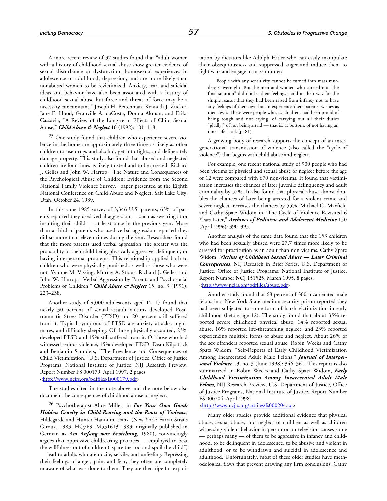A more recent review of 32 studies found that "adult women with a history of childhood sexual abuse show greater evidence of sexual disturbance or dysfunction, homosexual experiences in adolescence or adulthood, depression, and are more likely than nonabused women to be revictimized. Anxiety, fear, and suicidal ideas and behavior have also been associated with a history of childhood sexual abuse but force and threat of force may be a necessary concomitant." Joseph H. Beitchman, Kenneth J. Zucker, Jane E. Hood, Granville A. daCosta, Donna Akman, and Erika Cassavia, "A Review of the Long-term Effects of Child Sexual Abuse," *Child Abuse & Neglect* 16 (1992): 101–118.

25 One study found that children who experience severe violence in the home are approximately three times as likely as other children to use drugs and alcohol, get into fights, and deliberately damage property. This study also found that abused and neglected children are four times as likely to steal and to be arrested. Richard J. Gelles and John W. Harrop, "The Nature and Consequences of the Psychological Abuse of Children: Evidence from the Second National Family Violence Survey," paper presented at the Eighth National Conference on Child Abuse and Neglect, Salt Lake City, Utah, October 24, 1989.

In this same 1985 survey of 3,346 U.S. parents, 63% of parents reported they used verbal aggression — such as swearing at or insulting their child — at least once in the previous year. More than a third of parents who used verbal aggression reported they did so more than eleven times during the year. Researchers found that the more parents used verbal aggression, the greater was the probability of their child being physically aggressive, delinquent, or having interpersonal problems. This relationship applied both to children who were physically punished as well as those who were not. Yvonne M. Vissing, Murray A. Straus, Richard J. Gelles, and John W. Harrop, "Verbal Aggression by Parents and Psychosocial Problems of Children," *Child Abuse & Neglect* 15, no. 3 (1991): 223–238.

Another study of 4,000 adolescents aged 12–17 found that nearly 30 percent of sexual assault victims developed Posttraumatic Stress Disorder (PTSD) and 20 percent still suffered from it. Typical symptoms of PTSD are anxiety attacks, nightmares, and difficulty sleeping. Of those physically assaulted, 23% developed PTSD and 15% still suffered from it. Of those who had witnessed serious violence, 15% developed PTSD. Dean Kilpatrick and Benjamin Saunders, "The Prevalence and Consequences of Child Victimization," U.S. Department of Justice, Office of Justice Programs, National Institute of Justice, NIJ Research Preview, Report Number FS 000179, April 1997, 2 pages.

#### [<http://www.ncjrs.org/pdffiles/fs000179.pdf>](http://www.ncjrs.org/pdffiles/fs000179.pdf)

The studies cited in the note above and the note below also document the consequences of childhood abuse or neglect.

26 Psychotherapist Alice Miller, in *For Your Own Good: Hidden Cruelty in Child-Rearing and the Roots of Violence*, Hildegarde and Hunter Hannum, trans. (New York: Farrar Straus Giroux, 1983, HQ769 .M531613 1983; originally published in German as *Am Anfang war Erziehung*, 1980), convincingly argues that oppressive childrearing practices — employed to beat the willfulness out of children ("spare the rod and spoil the child") — lead to adults who are docile, servile, and unfeeling. Repressing their feelings of anger, pain, and fear, they often are completely unaware of what was done to them. They are then ripe for exploitation by dictators like Adolph Hitler who can easily manipulate their obsequiousness and suppressed anger and induce them to fight wars and engage in mass murder:

People with any sensitivity cannot be turned into mass murderers overnight. But the men and women who carried out "the final solution" did not let their feelings stand in their way for the simple reason that they had been raised from infancy not to have any feelings of their own but to experience their parents' wishes as their own. These were people who, as children, had been proud of being tough and not crying, of carrying out all their duties "gladly," of not being afraid — that is, at bottom, of not having an inner life at all. (p. 81)

A growing body of research supports the concept of an intergenerational transmission of violence (also called the "cycle of violence") that begins with child abuse and neglect.

For example, one recent national study of 900 people who had been victims of physical and sexual abuse or neglect before the age of 12 were compared with 670 non-victims. It found that victimization increases the chances of later juvenile delinquency and adult criminality by 57%. It also found that physical abuse almost doubles the chances of later being arrested for a violent crime and severe neglect increases the chances by 55%. Michael G. Maxfield and Cathy Spatz Widom in "The Cycle of Violence Revisited 6 Years Later," *Archives of Pediatric and Adolescent Medicine* 150 (April 1996): 390–395.

Another analysis of the same data found that the 153 children who had been sexually abused were 27.7 times more likely to be arrested for prostitution as an adult than non-victims. Cathy Spatz Widom, *Victims of Childhood Sexual Abuse — Later Criminal Consequences*, NIJ Research in Brief Series, U.S. Department of Justice, Office of Justice Programs, National Institute of Justice, Report Number NCJ 151525, March 1995, 8 pages. [<http://www.ncjrs.org/pdffiles/abuse.pdf>](http://www.ncjrs.org/pdffiles/abuse.pdf)

Another study found that 68 percent of 300 incarcerated male felons in a New York State medium security prison reported they had been subjected to some form of harsh victimization in early childhood (before age 12). The study found that about 35% reported severe childhood physical abuse, 14% reported sexual abuse, 16% reported life-threatening neglect, and 23% reported experiencing multiple forms of abuse and neglect. About 26% of the sex offenders reported sexual abuse. Robin Weeks and Cathy Spatz Widom, "Self-Reports of Early Childhood Victimization Among Incarcerated Adult Male Felons," *Journal of Interpersonal Violence* 13, no. 3 (June 1998): 346–361. This report is also summarized in Robin Weeks and Cathy Spatz Widom, *Early Childhood Victimization Among Incarcerated Adult Male Felons*, NIJ Research Preview, U.S. Department of Justice, Office of Justice Programs, National Institute of Justice, Report Number FS 000204, April 1998.

#### [<http://www.ncjrs.org/txtfiles/fs000204.txt>](http://www.ncjrs.org/txtfiles/fs000204.txt)

Many older studies provide additional evidence that physical abuse, sexual abuse, and neglect of children as well as children witnessing violent behavior in person or on television causes some — perhaps many — of them to be aggressive in infancy and childhood, to be delinquent in adolescence, to be abusive and violent in adulthood, or to be withdrawn and suicidal in adolescence and adulthood. Unfortunately, most of these older studies have methodological flaws that prevent drawing any firm conclusions. Cathy